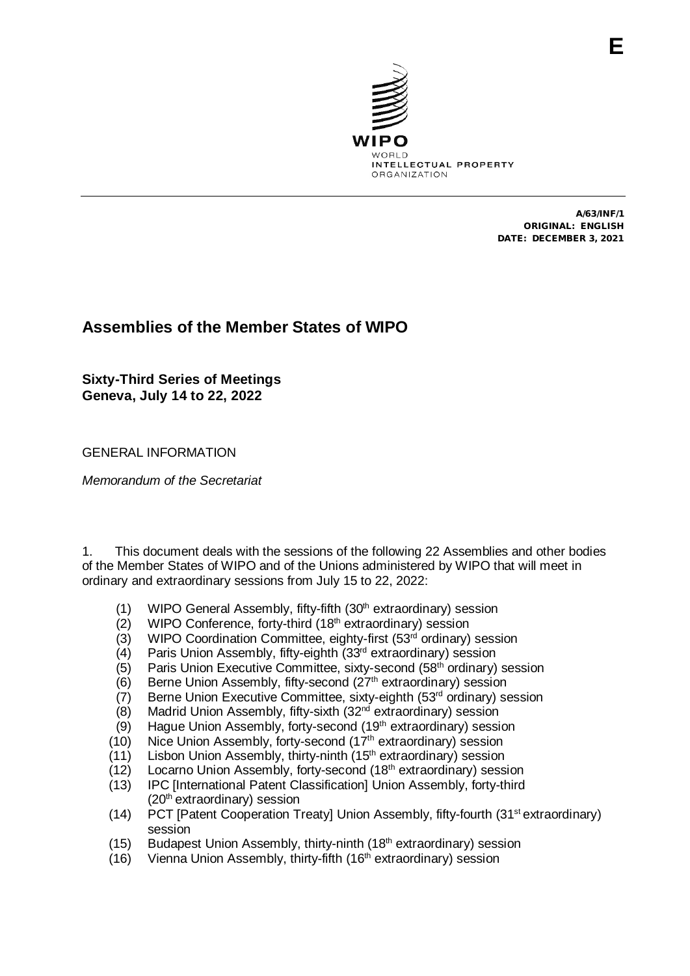

A/63/INF/1 ORIGINAL: ENGLISH DATE: DECEMBER 3, 2021

# **Assemblies of the Member States of WIPO**

**Sixty-Third Series of Meetings Geneva, July 14 to 22, 2022**

GENERAL INFORMATION

*Memorandum of the Secretariat*

1. This document deals with the sessions of the following 22 Assemblies and other bodies of the Member States of WIPO and of the Unions administered by WIPO that will meet in ordinary and extraordinary sessions from July 15 to 22, 2022:

- (1) WIPO General Assembly, fifty-fifth (30<sup>th</sup> extraordinary) session
- (2) WIPO Conference, forty-third  $(18<sup>th</sup>$  extraordinary) session
- (3) WIPO Coordination Committee, eighty-first (53rd ordinary) session
- $(4)$  Paris Union Assembly, fifty-eighth  $(33^{rd}$  extraordinary) session <br>(5) Paris Union Executive Committee, sixty-second (58<sup>th</sup> ordinary)
- Paris Union Executive Committee, sixty-second (58<sup>th</sup> ordinary) session
- (6) Berne Union Assembly, fifty-second  $(27<sup>th</sup>$  extraordinary) session
- (7) Berne Union Executive Committee, sixty-eighth (53rd ordinary) session
- (8) Madrid Union Assembly, fifty-sixth (32nd extraordinary) session
- (9) Hague Union Assembly, forty-second (19<sup>th</sup> extraordinary) session
- (10) Nice Union Assembly, forty-second (17th extraordinary) session
- (11) Lisbon Union Assembly, thirty-ninth (15th extraordinary) session
- (12) Locarno Union Assembly, forty-second (18th extraordinary) session
- (13) IPC [International Patent Classification] Union Assembly, forty-third (20th extraordinary) session
- (14) PCT [Patent Cooperation Treaty] Union Assembly, fifty-fourth (31st extraordinary) session
- (15) Budapest Union Assembly, thirty-ninth (18<sup>th</sup> extraordinary) session
- (16) Vienna Union Assembly, thirty-fifth (16<sup>th</sup> extraordinary) session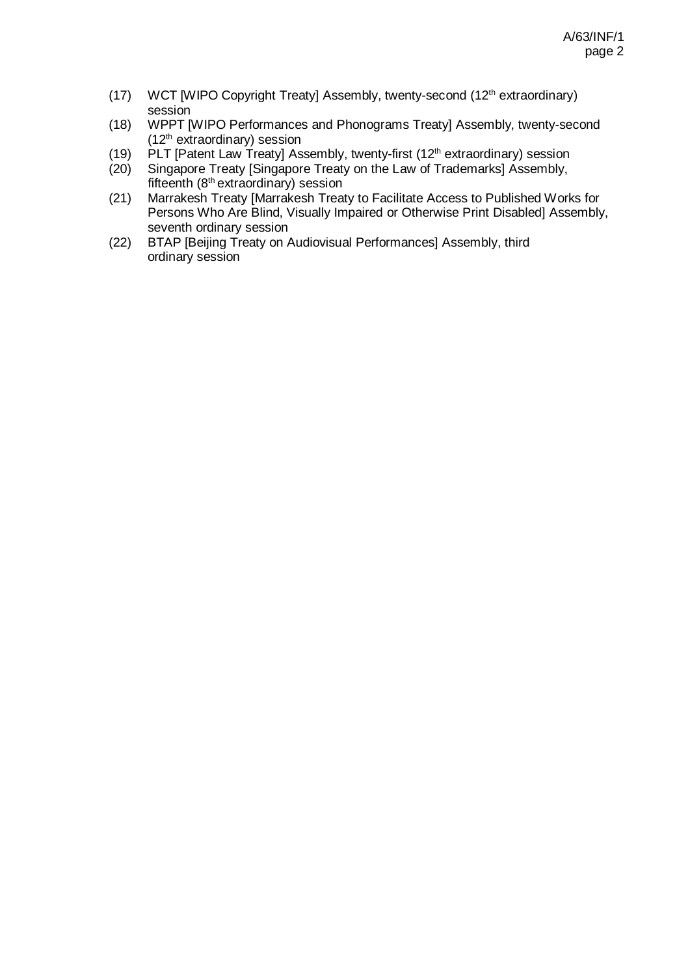- (17) WCT [WIPO Copyright Treaty] Assembly, twenty-second (12th extraordinary) session
- (18) WPPT [WIPO Performances and Phonograms Treaty] Assembly, twenty-second  $(12<sup>th</sup>$  extraordinary) session
- (19) PLT [Patent Law Treaty] Assembly, twenty-first (12<sup>th</sup> extraordinary) session (20) Singapore Treaty [Singapore Treaty on the Law of Trademarks] Assembly,
- Singapore Treaty [Singapore Treaty on the Law of Trademarks] Assembly, fifteenth  $(8<sup>th</sup>$  extraordinary) session
- (21) Marrakesh Treaty [Marrakesh Treaty to Facilitate Access to Published Works for Persons Who Are Blind, Visually Impaired or Otherwise Print Disabled] Assembly, seventh ordinary session
- (22) BTAP [Beijing Treaty on Audiovisual Performances] Assembly, third ordinary session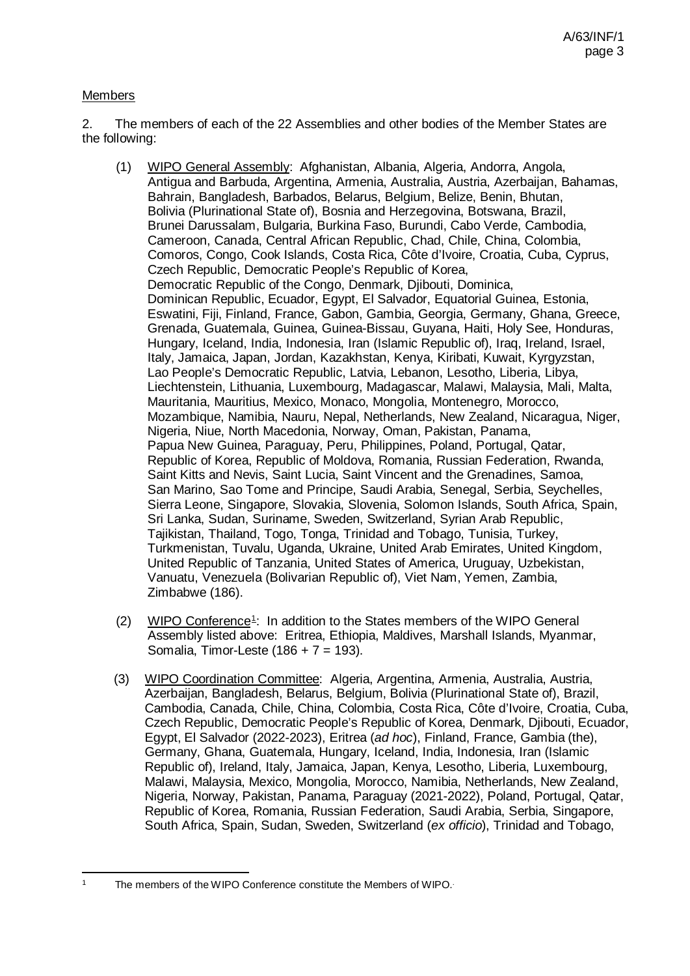### **Members**

2. The members of each of the 22 Assemblies and other bodies of the Member States are the following:

- (1) WIPO General Assembly: Afghanistan, Albania, Algeria, Andorra, Angola, Antigua and Barbuda, Argentina, Armenia, Australia, Austria, Azerbaijan, Bahamas, Bahrain, Bangladesh, Barbados, Belarus, Belgium, Belize, Benin, Bhutan, Bolivia (Plurinational State of), Bosnia and Herzegovina, Botswana, Brazil, Brunei Darussalam, Bulgaria, Burkina Faso, Burundi, Cabo Verde, Cambodia, Cameroon, Canada, Central African Republic, Chad, Chile, China, Colombia, Comoros, Congo, Cook Islands, Costa Rica, Côte d'Ivoire, Croatia, Cuba, Cyprus, Czech Republic, Democratic People's Republic of Korea, Democratic Republic of the Congo, Denmark, Djibouti, Dominica, Dominican Republic, Ecuador, Egypt, El Salvador, Equatorial Guinea, Estonia, Eswatini, Fiji, Finland, France, Gabon, Gambia, Georgia, Germany, Ghana, Greece, Grenada, Guatemala, Guinea, Guinea-Bissau, Guyana, Haiti, Holy See, Honduras, Hungary, Iceland, India, Indonesia, Iran (Islamic Republic of), Iraq, Ireland, Israel, Italy, Jamaica, Japan, Jordan, Kazakhstan, Kenya, Kiribati, Kuwait, Kyrgyzstan, Lao People's Democratic Republic, Latvia, Lebanon, Lesotho, Liberia, Libya, Liechtenstein, Lithuania, Luxembourg, Madagascar, Malawi, Malaysia, Mali, Malta, Mauritania, Mauritius, Mexico, Monaco, Mongolia, Montenegro, Morocco, Mozambique, Namibia, Nauru, Nepal, Netherlands, New Zealand, Nicaragua, Niger, Nigeria, Niue, North Macedonia, Norway, Oman, Pakistan, Panama, Papua New Guinea, Paraguay, Peru, Philippines, Poland, Portugal, Qatar, Republic of Korea, Republic of Moldova, Romania, Russian Federation, Rwanda, Saint Kitts and Nevis, Saint Lucia, Saint Vincent and the Grenadines, Samoa, San Marino, Sao Tome and Principe, Saudi Arabia, Senegal, Serbia, Seychelles, Sierra Leone, Singapore, Slovakia, Slovenia, Solomon Islands, South Africa, Spain, Sri Lanka, Sudan, Suriname, Sweden, Switzerland, Syrian Arab Republic, Tajikistan, Thailand, Togo, Tonga, Trinidad and Tobago, Tunisia, Turkey, Turkmenistan, Tuvalu, Uganda, Ukraine, United Arab Emirates, United Kingdom, United Republic of Tanzania, United States of America, Uruguay, Uzbekistan, Vanuatu, Venezuela (Bolivarian Republic of), Viet Nam, Yemen, Zambia, Zimbabwe (186).
- $(2)$  WIPO Conference<sup>[1](#page-2-0)</sup>: In addition to the States members of the WIPO General Assembly listed above: Eritrea, Ethiopia, Maldives, Marshall Islands, Myanmar, Somalia, Timor-Leste (186 + 7 = 193).
- (3) WIPO Coordination Committee: Algeria, Argentina, Armenia, Australia, Austria, Azerbaijan, Bangladesh, Belarus, Belgium, Bolivia (Plurinational State of), Brazil, Cambodia, Canada, Chile, China, Colombia, Costa Rica, Côte d'Ivoire, Croatia, Cuba, Czech Republic, Democratic People's Republic of Korea, Denmark, Djibouti, Ecuador, Egypt, El Salvador (2022-2023), Eritrea (*ad hoc*), Finland, France, Gambia (the), Germany, Ghana, Guatemala, Hungary, Iceland, India, Indonesia, Iran (Islamic Republic of), Ireland, Italy, Jamaica, Japan, Kenya, Lesotho, Liberia, Luxembourg, Malawi, Malaysia, Mexico, Mongolia, Morocco, Namibia, Netherlands, New Zealand, Nigeria, Norway, Pakistan, Panama, Paraguay (2021-2022), Poland, Portugal, Qatar, Republic of Korea, Romania, Russian Federation, Saudi Arabia, Serbia, Singapore, South Africa, Spain, Sudan, Sweden, Switzerland (*ex officio*), Trinidad and Tobago,

<span id="page-2-0"></span>The members of the WIPO Conference constitute the Members of WIPO.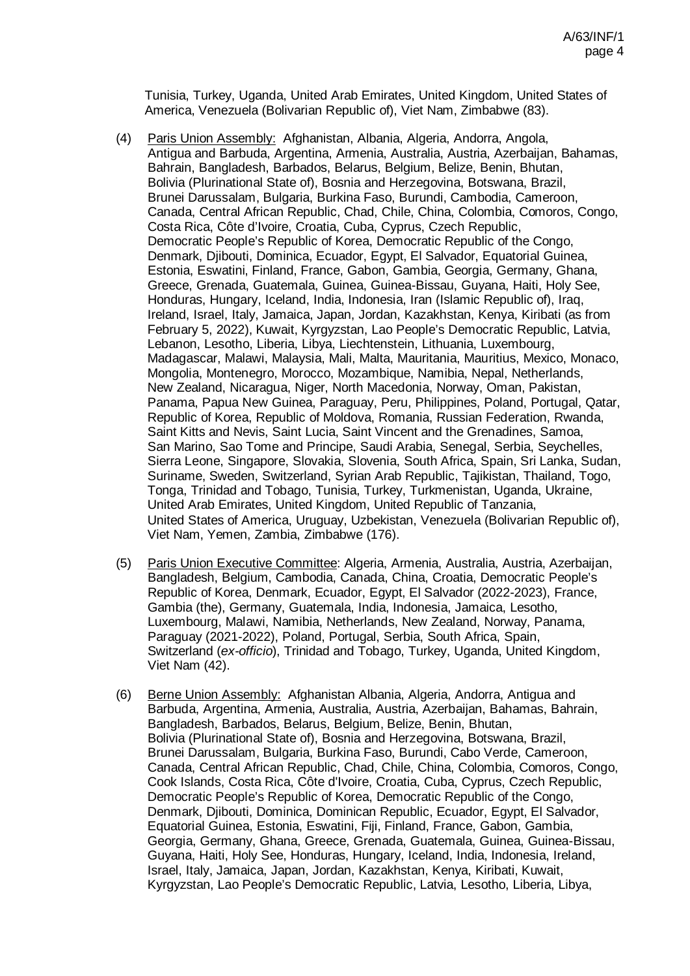Tunisia, Turkey, Uganda, United Arab Emirates, United Kingdom, United States of America, Venezuela (Bolivarian Republic of), Viet Nam, Zimbabwe (83).

- (4) Paris Union Assembly: Afghanistan, Albania, Algeria, Andorra, Angola, Antigua and Barbuda, Argentina, Armenia, Australia, Austria, Azerbaijan, Bahamas, Bahrain, Bangladesh, Barbados, Belarus, Belgium, Belize, Benin, Bhutan, Bolivia (Plurinational State of), Bosnia and Herzegovina, Botswana, Brazil, Brunei Darussalam, Bulgaria, Burkina Faso, Burundi, Cambodia, Cameroon, Canada, Central African Republic, Chad, Chile, China, Colombia, Comoros, Congo, Costa Rica, Côte d'Ivoire, Croatia, Cuba, Cyprus, Czech Republic, Democratic People's Republic of Korea, Democratic Republic of the Congo, Denmark, Djibouti, Dominica, Ecuador, Egypt, El Salvador, Equatorial Guinea, Estonia, Eswatini, Finland, France, Gabon, Gambia, Georgia, Germany, Ghana, Greece, Grenada, Guatemala, Guinea, Guinea-Bissau, Guyana, Haiti, Holy See, Honduras, Hungary, Iceland, India, Indonesia, Iran (Islamic Republic of), Iraq, Ireland, Israel, Italy, Jamaica, Japan, Jordan, Kazakhstan, Kenya, Kiribati (as from February 5, 2022), Kuwait, Kyrgyzstan, Lao People's Democratic Republic, Latvia, Lebanon, Lesotho, Liberia, Libya, Liechtenstein, Lithuania, Luxembourg, Madagascar, Malawi, Malaysia, Mali, Malta, Mauritania, Mauritius, Mexico, Monaco, Mongolia, Montenegro, Morocco, Mozambique, Namibia, Nepal, Netherlands, New Zealand, Nicaragua, Niger, North Macedonia, Norway, Oman, Pakistan, Panama, Papua New Guinea, Paraguay, Peru, Philippines, Poland, Portugal, Qatar, Republic of Korea, Republic of Moldova, Romania, Russian Federation, Rwanda, Saint Kitts and Nevis, Saint Lucia, Saint Vincent and the Grenadines, Samoa, San Marino, Sao Tome and Principe, Saudi Arabia, Senegal, Serbia, Seychelles, Sierra Leone, Singapore, Slovakia, Slovenia, South Africa, Spain, Sri Lanka, Sudan, Suriname, Sweden, Switzerland, Syrian Arab Republic, Tajikistan, Thailand, Togo, Tonga, Trinidad and Tobago, Tunisia, Turkey, Turkmenistan, Uganda, Ukraine, United Arab Emirates, United Kingdom, United Republic of Tanzania, United States of America, Uruguay, Uzbekistan, Venezuela (Bolivarian Republic of), Viet Nam, Yemen, Zambia, Zimbabwe (176).
- (5) Paris Union Executive Committee: Algeria, Armenia, Australia, Austria, Azerbaijan, Bangladesh, Belgium, Cambodia, Canada, China, Croatia, Democratic People's Republic of Korea, Denmark, Ecuador, Egypt, El Salvador (2022-2023), France, Gambia (the), Germany, Guatemala, India, Indonesia, Jamaica, Lesotho, Luxembourg, Malawi, Namibia, Netherlands, New Zealand, Norway, Panama, Paraguay (2021-2022), Poland, Portugal, Serbia, South Africa, Spain, Switzerland (*ex-officio*), Trinidad and Tobago, Turkey, Uganda, United Kingdom, Viet Nam (42).
- (6) Berne Union Assembly: Afghanistan Albania, Algeria, Andorra, Antigua and Barbuda, Argentina, Armenia, Australia, Austria, Azerbaijan, Bahamas, Bahrain, Bangladesh, Barbados, Belarus, Belgium, Belize, Benin, Bhutan, Bolivia (Plurinational State of), Bosnia and Herzegovina, Botswana, Brazil, Brunei Darussalam, Bulgaria, Burkina Faso, Burundi, Cabo Verde, Cameroon, Canada, Central African Republic, Chad, Chile, China, Colombia, Comoros, Congo, Cook Islands, Costa Rica, Côte d'Ivoire, Croatia, Cuba, Cyprus, Czech Republic, Democratic People's Republic of Korea, Democratic Republic of the Congo, Denmark, Djibouti, Dominica, Dominican Republic, Ecuador, Egypt, El Salvador, Equatorial Guinea, Estonia, Eswatini, Fiji, Finland, France, Gabon, Gambia, Georgia, Germany, Ghana, Greece, Grenada, Guatemala, Guinea, Guinea-Bissau, Guyana, Haiti, Holy See, Honduras, Hungary, Iceland, India, Indonesia, Ireland, Israel, Italy, Jamaica, Japan, Jordan, Kazakhstan, Kenya, Kiribati, Kuwait, Kyrgyzstan, Lao People's Democratic Republic, Latvia, Lesotho, Liberia, Libya,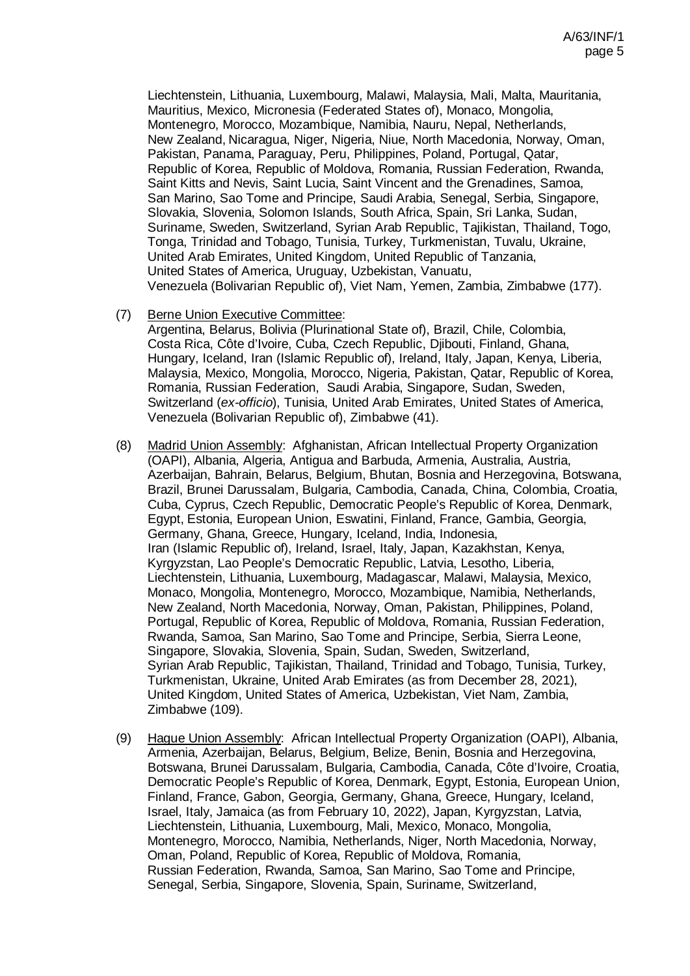Liechtenstein, Lithuania, Luxembourg, Malawi, Malaysia, Mali, Malta, Mauritania, Mauritius, Mexico, Micronesia (Federated States of), Monaco, Mongolia, Montenegro, Morocco, Mozambique, Namibia, Nauru, Nepal, Netherlands, New Zealand, Nicaragua, Niger, Nigeria, Niue, North Macedonia, Norway, Oman, Pakistan, Panama, Paraguay, Peru, Philippines, Poland, Portugal, Qatar, Republic of Korea, Republic of Moldova, Romania, Russian Federation, Rwanda, Saint Kitts and Nevis, Saint Lucia, Saint Vincent and the Grenadines, Samoa, San Marino, Sao Tome and Principe, Saudi Arabia, Senegal, Serbia, Singapore, Slovakia, Slovenia, Solomon Islands, South Africa, Spain, Sri Lanka, Sudan, Suriname, Sweden, Switzerland, Syrian Arab Republic, Tajikistan, Thailand, Togo, Tonga, Trinidad and Tobago, Tunisia, Turkey, Turkmenistan, Tuvalu, Ukraine, United Arab Emirates, United Kingdom, United Republic of Tanzania, United States of America, Uruguay, Uzbekistan, Vanuatu, Venezuela (Bolivarian Republic of), Viet Nam, Yemen, Zambia, Zimbabwe (177).

(7) Berne Union Executive Committee:

Argentina, Belarus, Bolivia (Plurinational State of), Brazil, Chile, Colombia, Costa Rica, Côte d'Ivoire, Cuba, Czech Republic, Djibouti, Finland, Ghana, Hungary, Iceland, Iran (Islamic Republic of), Ireland, Italy, Japan, Kenya, Liberia, Malaysia, Mexico, Mongolia, Morocco, Nigeria, Pakistan, Qatar, Republic of Korea, Romania, Russian Federation, Saudi Arabia, Singapore, Sudan, Sweden, Switzerland (*ex-officio*), Tunisia, United Arab Emirates, United States of America, Venezuela (Bolivarian Republic of), Zimbabwe (41).

- (8) Madrid Union Assembly: Afghanistan, African Intellectual Property Organization (OAPI), Albania, Algeria, Antigua and Barbuda, Armenia, Australia, Austria, Azerbaijan, Bahrain, Belarus, Belgium, Bhutan, Bosnia and Herzegovina, Botswana, Brazil, Brunei Darussalam, Bulgaria, Cambodia, Canada, China, Colombia, Croatia, Cuba, Cyprus, Czech Republic, Democratic People's Republic of Korea, Denmark, Egypt, Estonia, European Union, Eswatini, Finland, France, Gambia, Georgia, Germany, Ghana, Greece, Hungary, Iceland, India, Indonesia, Iran (Islamic Republic of), Ireland, Israel, Italy, Japan, Kazakhstan, Kenya, Kyrgyzstan, Lao People's Democratic Republic, Latvia, Lesotho, Liberia, Liechtenstein, Lithuania, Luxembourg, Madagascar, Malawi, Malaysia, Mexico, Monaco, Mongolia, Montenegro, Morocco, Mozambique, Namibia, Netherlands, New Zealand, North Macedonia, Norway, Oman, Pakistan, Philippines, Poland, Portugal, Republic of Korea, Republic of Moldova, Romania, Russian Federation, Rwanda, Samoa, San Marino, Sao Tome and Principe, Serbia, Sierra Leone, Singapore, Slovakia, Slovenia, Spain, Sudan, Sweden, Switzerland, Syrian Arab Republic, Tajikistan, Thailand, Trinidad and Tobago, Tunisia, Turkey, Turkmenistan, Ukraine, United Arab Emirates (as from December 28, 2021), United Kingdom, United States of America, Uzbekistan, Viet Nam, Zambia, Zimbabwe (109).
- (9) Hague Union Assembly: African Intellectual Property Organization (OAPI), Albania, Armenia, Azerbaijan, Belarus, Belgium, Belize, Benin, Bosnia and Herzegovina, Botswana, Brunei Darussalam, Bulgaria, Cambodia, Canada, Côte d'Ivoire, Croatia, Democratic People's Republic of Korea, Denmark, Egypt, Estonia, European Union, Finland, France, Gabon, Georgia, Germany, Ghana, Greece, Hungary, Iceland, Israel, Italy, Jamaica (as from February 10, 2022), Japan, Kyrgyzstan, Latvia, Liechtenstein, Lithuania, Luxembourg, Mali, Mexico, Monaco, Mongolia, Montenegro, Morocco, Namibia, Netherlands, Niger, North Macedonia, Norway, Oman, Poland, Republic of Korea, Republic of Moldova, Romania, Russian Federation, Rwanda, Samoa, San Marino, Sao Tome and Principe, Senegal, Serbia, Singapore, Slovenia, Spain, Suriname, Switzerland,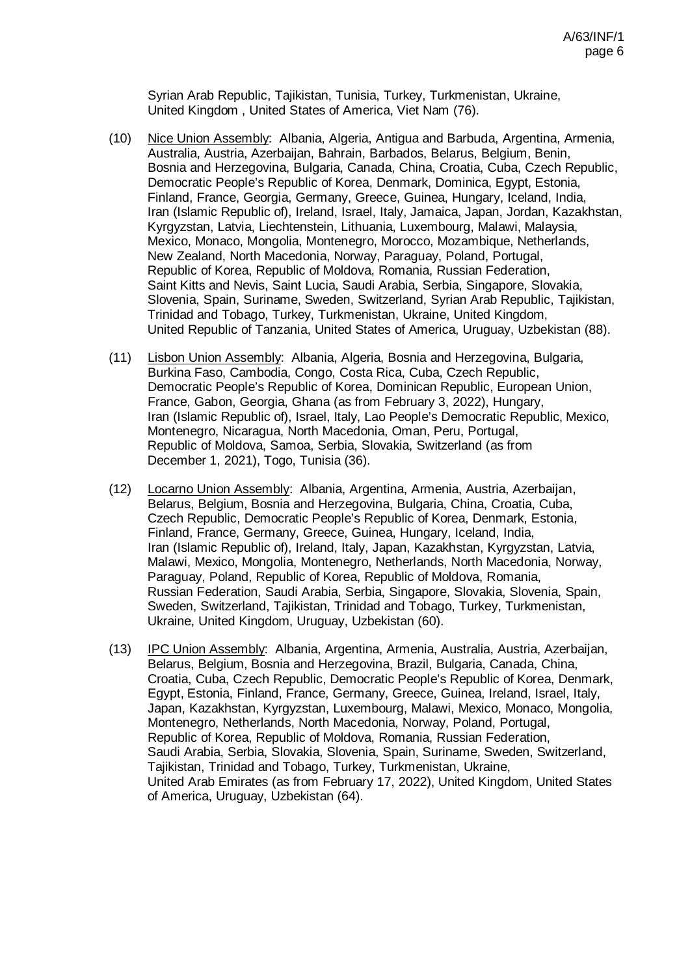Syrian Arab Republic, Tajikistan, Tunisia, Turkey, Turkmenistan, Ukraine, United Kingdom , United States of America, Viet Nam (76).

- (10) Nice Union Assembly: Albania, Algeria, Antigua and Barbuda, Argentina, Armenia, Australia, Austria, Azerbaijan, Bahrain, Barbados, Belarus, Belgium, Benin, Bosnia and Herzegovina, Bulgaria, Canada, China, Croatia, Cuba, Czech Republic, Democratic People's Republic of Korea, Denmark, Dominica, Egypt, Estonia, Finland, France, Georgia, Germany, Greece, Guinea, Hungary, Iceland, India, Iran (Islamic Republic of), Ireland, Israel, Italy, Jamaica, Japan, Jordan, Kazakhstan, Kyrgyzstan, Latvia, Liechtenstein, Lithuania, Luxembourg, Malawi, Malaysia, Mexico, Monaco, Mongolia, Montenegro, Morocco, Mozambique, Netherlands, New Zealand, North Macedonia, Norway, Paraguay, Poland, Portugal, Republic of Korea, Republic of Moldova, Romania, Russian Federation, Saint Kitts and Nevis, Saint Lucia, Saudi Arabia, Serbia, Singapore, Slovakia, Slovenia, Spain, Suriname, Sweden, Switzerland, Syrian Arab Republic, Tajikistan, Trinidad and Tobago, Turkey, Turkmenistan, Ukraine, United Kingdom, United Republic of Tanzania, United States of America, Uruguay, Uzbekistan (88).
- (11) Lisbon Union Assembly: Albania, Algeria, Bosnia and Herzegovina, Bulgaria, Burkina Faso, Cambodia, Congo, Costa Rica, Cuba, Czech Republic, Democratic People's Republic of Korea, Dominican Republic, European Union, France, Gabon, Georgia, Ghana (as from February 3, 2022), Hungary, Iran (Islamic Republic of), Israel, Italy, Lao People's Democratic Republic, Mexico, Montenegro, Nicaragua, North Macedonia, Oman, Peru, Portugal, Republic of Moldova, Samoa, Serbia, Slovakia, Switzerland (as from December 1, 2021), Togo, Tunisia (36).
- (12) Locarno Union Assembly: Albania, Argentina, Armenia, Austria, Azerbaijan, Belarus, Belgium, Bosnia and Herzegovina, Bulgaria, China, Croatia, Cuba, Czech Republic, Democratic People's Republic of Korea, Denmark, Estonia, Finland, France, Germany, Greece, Guinea, Hungary, Iceland, India, Iran (Islamic Republic of), Ireland, Italy, Japan, Kazakhstan, Kyrgyzstan, Latvia, Malawi, Mexico, Mongolia, Montenegro, Netherlands, North Macedonia, Norway, Paraguay, Poland, Republic of Korea, Republic of Moldova, Romania, Russian Federation, Saudi Arabia, Serbia, Singapore, Slovakia, Slovenia, Spain, Sweden, Switzerland, Tajikistan, Trinidad and Tobago, Turkey, Turkmenistan, Ukraine, United Kingdom, Uruguay, Uzbekistan (60).
- (13) IPC Union Assembly: Albania, Argentina, Armenia, Australia, Austria, Azerbaijan, Belarus, Belgium, Bosnia and Herzegovina, Brazil, Bulgaria, Canada, China, Croatia, Cuba, Czech Republic, Democratic People's Republic of Korea, Denmark, Egypt, Estonia, Finland, France, Germany, Greece, Guinea, Ireland, Israel, Italy, Japan, Kazakhstan, Kyrgyzstan, Luxembourg, Malawi, Mexico, Monaco, Mongolia, Montenegro, Netherlands, North Macedonia, Norway, Poland, Portugal, Republic of Korea, Republic of Moldova, Romania, Russian Federation, Saudi Arabia, Serbia, Slovakia, Slovenia, Spain, Suriname, Sweden, Switzerland, Tajikistan, Trinidad and Tobago, Turkey, Turkmenistan, Ukraine, United Arab Emirates (as from February 17, 2022), United Kingdom, United States of America, Uruguay, Uzbekistan (64).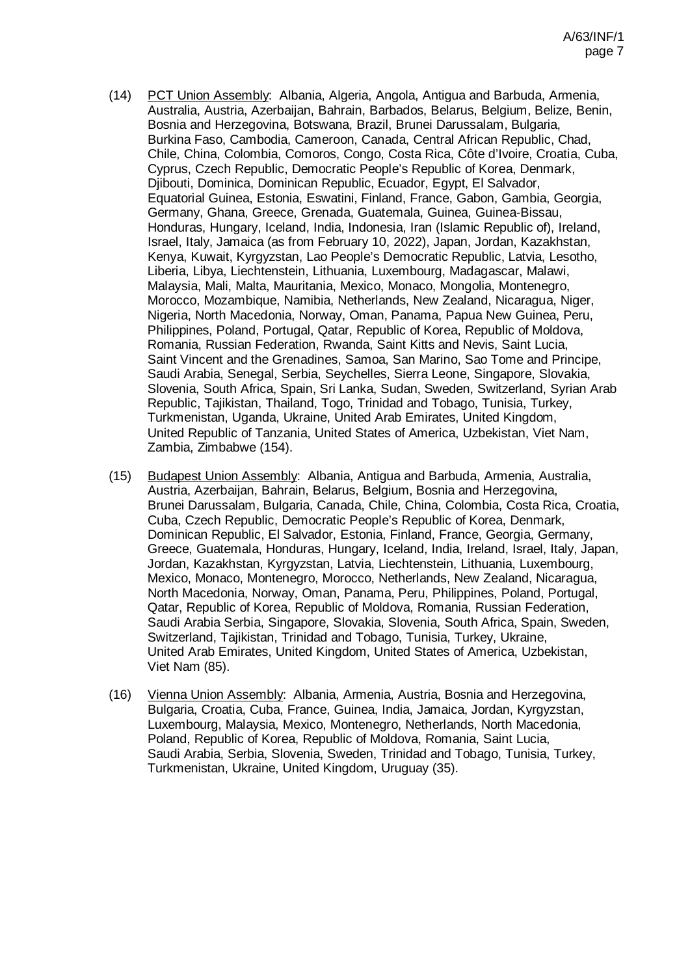- (14) PCT Union Assembly: Albania, Algeria, Angola, Antigua and Barbuda, Armenia, Australia, Austria, Azerbaijan, Bahrain, Barbados, Belarus, Belgium, Belize, Benin, Bosnia and Herzegovina, Botswana, Brazil, Brunei Darussalam, Bulgaria, Burkina Faso, Cambodia, Cameroon, Canada, Central African Republic, Chad, Chile, China, Colombia, Comoros, Congo, Costa Rica, Côte d'Ivoire, Croatia, Cuba, Cyprus, Czech Republic, Democratic People's Republic of Korea, Denmark, Djibouti, Dominica, Dominican Republic, Ecuador, Egypt, El Salvador, Equatorial Guinea, Estonia, Eswatini, Finland, France, Gabon, Gambia, Georgia, Germany, Ghana, Greece, Grenada, Guatemala, Guinea, Guinea-Bissau, Honduras, Hungary, Iceland, India, Indonesia, Iran (Islamic Republic of), Ireland, Israel, Italy, Jamaica (as from February 10, 2022), Japan, Jordan, Kazakhstan, Kenya, Kuwait, Kyrgyzstan, Lao People's Democratic Republic, Latvia, Lesotho, Liberia, Libya, Liechtenstein, Lithuania, Luxembourg, Madagascar, Malawi, Malaysia, Mali, Malta, Mauritania, Mexico, Monaco, Mongolia, Montenegro, Morocco, Mozambique, Namibia, Netherlands, New Zealand, Nicaragua, Niger, Nigeria, North Macedonia, Norway, Oman, Panama, Papua New Guinea, Peru, Philippines, Poland, Portugal, Qatar, Republic of Korea, Republic of Moldova, Romania, Russian Federation, Rwanda, Saint Kitts and Nevis, Saint Lucia, Saint Vincent and the Grenadines, Samoa, San Marino, Sao Tome and Principe, Saudi Arabia, Senegal, Serbia, Seychelles, Sierra Leone, Singapore, Slovakia, Slovenia, South Africa, Spain, Sri Lanka, Sudan, Sweden, Switzerland, Syrian Arab Republic, Tajikistan, Thailand, Togo, Trinidad and Tobago, Tunisia, Turkey, Turkmenistan, Uganda, Ukraine, United Arab Emirates, United Kingdom, United Republic of Tanzania, United States of America, Uzbekistan, Viet Nam, Zambia, Zimbabwe (154).
- (15) Budapest Union Assembly: Albania, Antigua and Barbuda, Armenia, Australia, Austria, Azerbaijan, Bahrain, Belarus, Belgium, Bosnia and Herzegovina, Brunei Darussalam, Bulgaria, Canada, Chile, China, Colombia, Costa Rica, Croatia, Cuba, Czech Republic, Democratic People's Republic of Korea, Denmark, Dominican Republic, El Salvador, Estonia, Finland, France, Georgia, Germany, Greece, Guatemala, Honduras, Hungary, Iceland, India, Ireland, Israel, Italy, Japan, Jordan, Kazakhstan, Kyrgyzstan, Latvia, Liechtenstein, Lithuania, Luxembourg, Mexico, Monaco, Montenegro, Morocco, Netherlands, New Zealand, Nicaragua, North Macedonia, Norway, Oman, Panama, Peru, Philippines, Poland, Portugal, Qatar, Republic of Korea, Republic of Moldova, Romania, Russian Federation, Saudi Arabia Serbia, Singapore, Slovakia, Slovenia, South Africa, Spain, Sweden, Switzerland, Tajikistan, Trinidad and Tobago, Tunisia, Turkey, Ukraine, United Arab Emirates, United Kingdom, United States of America, Uzbekistan, Viet Nam (85).
- (16) Vienna Union Assembly: Albania, Armenia, Austria, Bosnia and Herzegovina, Bulgaria, Croatia, Cuba, France, Guinea, India, Jamaica, Jordan, Kyrgyzstan, Luxembourg, Malaysia, Mexico, Montenegro, Netherlands, North Macedonia, Poland, Republic of Korea, Republic of Moldova, Romania, Saint Lucia, Saudi Arabia, Serbia, Slovenia, Sweden, Trinidad and Tobago, Tunisia, Turkey, Turkmenistan, Ukraine, United Kingdom, Uruguay (35).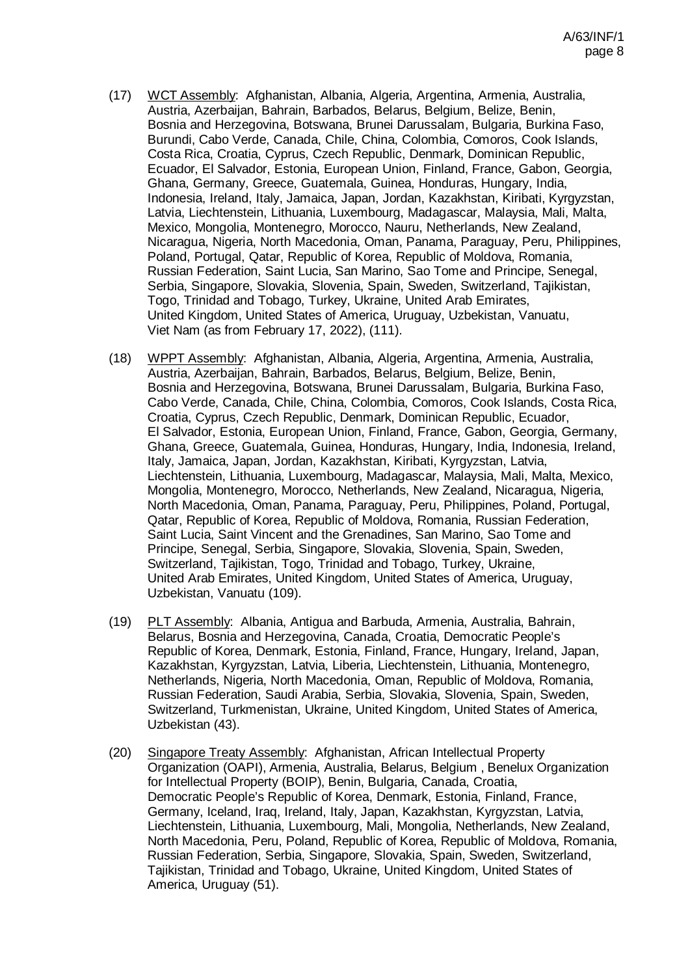- (17) WCT Assembly: Afghanistan, Albania, Algeria, Argentina, Armenia, Australia, Austria, Azerbaijan, Bahrain, Barbados, Belarus, Belgium, Belize, Benin, Bosnia and Herzegovina, Botswana, Brunei Darussalam, Bulgaria, Burkina Faso, Burundi, Cabo Verde, Canada, Chile, China, Colombia, Comoros, Cook Islands, Costa Rica, Croatia, Cyprus, Czech Republic, Denmark, Dominican Republic, Ecuador, El Salvador, Estonia, European Union, Finland, France, Gabon, Georgia, Ghana, Germany, Greece, Guatemala, Guinea, Honduras, Hungary, India, Indonesia, Ireland, Italy, Jamaica, Japan, Jordan, Kazakhstan, Kiribati, Kyrgyzstan, Latvia, Liechtenstein, Lithuania, Luxembourg, Madagascar, Malaysia, Mali, Malta, Mexico, Mongolia, Montenegro, Morocco, Nauru, Netherlands, New Zealand, Nicaragua, Nigeria, North Macedonia, Oman, Panama, Paraguay, Peru, Philippines, Poland, Portugal, Qatar, Republic of Korea, Republic of Moldova, Romania, Russian Federation, Saint Lucia, San Marino, Sao Tome and Principe, Senegal, Serbia, Singapore, Slovakia, Slovenia, Spain, Sweden, Switzerland, Tajikistan, Togo, Trinidad and Tobago, Turkey, Ukraine, United Arab Emirates, United Kingdom, United States of America, Uruguay, Uzbekistan, Vanuatu, Viet Nam (as from February 17, 2022), (111).
- (18) WPPT Assembly: Afghanistan, Albania, Algeria, Argentina, Armenia, Australia, Austria, Azerbaijan, Bahrain, Barbados, Belarus, Belgium, Belize, Benin, Bosnia and Herzegovina, Botswana, Brunei Darussalam, Bulgaria, Burkina Faso, Cabo Verde, Canada, Chile, China, Colombia, Comoros, Cook Islands, Costa Rica, Croatia, Cyprus, Czech Republic, Denmark, Dominican Republic, Ecuador, El Salvador, Estonia, European Union, Finland, France, Gabon, Georgia, Germany, Ghana, Greece, Guatemala, Guinea, Honduras, Hungary, India, Indonesia, Ireland, Italy, Jamaica, Japan, Jordan, Kazakhstan, Kiribati, Kyrgyzstan, Latvia, Liechtenstein, Lithuania, Luxembourg, Madagascar, Malaysia, Mali, Malta, Mexico, Mongolia, Montenegro, Morocco, Netherlands, New Zealand, Nicaragua, Nigeria, North Macedonia, Oman, Panama, Paraguay, Peru, Philippines, Poland, Portugal, Qatar, Republic of Korea, Republic of Moldova, Romania, Russian Federation, Saint Lucia, Saint Vincent and the Grenadines, San Marino, Sao Tome and Principe, Senegal, Serbia, Singapore, Slovakia, Slovenia, Spain, Sweden, Switzerland, Tajikistan, Togo, Trinidad and Tobago, Turkey, Ukraine, United Arab Emirates, United Kingdom, United States of America, Uruguay, Uzbekistan, Vanuatu (109).
- (19) PLT Assembly: Albania, Antigua and Barbuda, Armenia, Australia, Bahrain, Belarus, Bosnia and Herzegovina, Canada, Croatia, Democratic People's Republic of Korea, Denmark, Estonia, Finland, France, Hungary, Ireland, Japan, Kazakhstan, Kyrgyzstan, Latvia, Liberia, Liechtenstein, Lithuania, Montenegro, Netherlands, Nigeria, North Macedonia, Oman, Republic of Moldova, Romania, Russian Federation, Saudi Arabia, Serbia, Slovakia, Slovenia, Spain, Sweden, Switzerland, Turkmenistan, Ukraine, United Kingdom, United States of America, Uzbekistan (43).
- (20) Singapore Treaty Assembly: Afghanistan, African Intellectual Property Organization (OAPI), Armenia, Australia, Belarus, Belgium , Benelux Organization for Intellectual Property (BOIP), Benin, Bulgaria, Canada, Croatia, Democratic People's Republic of Korea, Denmark, Estonia, Finland, France, Germany, Iceland, Iraq, Ireland, Italy, Japan, Kazakhstan, Kyrgyzstan, Latvia, Liechtenstein, Lithuania, Luxembourg, Mali, Mongolia, Netherlands, New Zealand, North Macedonia, Peru, Poland, Republic of Korea, Republic of Moldova, Romania, Russian Federation, Serbia, Singapore, Slovakia, Spain, Sweden, Switzerland, Tajikistan, Trinidad and Tobago, Ukraine, United Kingdom, United States of America, Uruguay (51).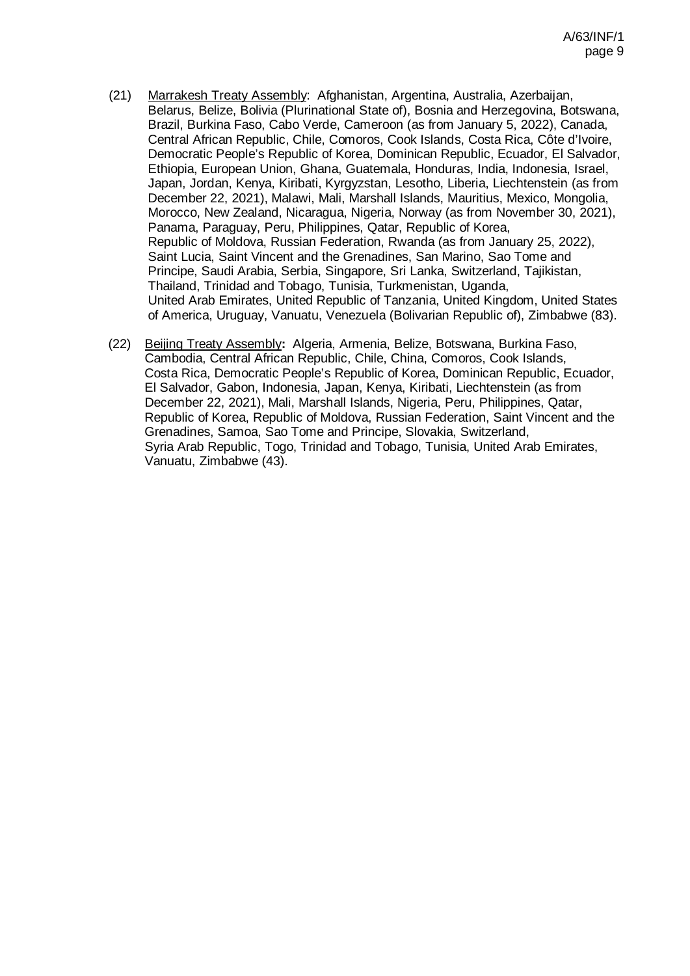- (21) Marrakesh Treaty Assembly: Afghanistan, Argentina, Australia, Azerbaijan, Belarus, Belize, Bolivia (Plurinational State of), Bosnia and Herzegovina, Botswana, Brazil, Burkina Faso, Cabo Verde, Cameroon (as from January 5, 2022), Canada, Central African Republic, Chile, Comoros, Cook Islands, Costa Rica, Côte d'Ivoire, Democratic People's Republic of Korea, Dominican Republic, Ecuador, El Salvador, Ethiopia, European Union, Ghana, Guatemala, Honduras, India, Indonesia, Israel, Japan, Jordan, Kenya, Kiribati, Kyrgyzstan, Lesotho, Liberia, Liechtenstein (as from December 22, 2021), Malawi, Mali, Marshall Islands, Mauritius, Mexico, Mongolia, Morocco, New Zealand, Nicaragua, Nigeria, Norway (as from November 30, 2021), Panama, Paraguay, Peru, Philippines, Qatar, Republic of Korea, Republic of Moldova, Russian Federation, Rwanda (as from January 25, 2022), Saint Lucia, Saint Vincent and the Grenadines, San Marino, Sao Tome and Principe, Saudi Arabia, Serbia, Singapore, Sri Lanka, Switzerland, Tajikistan, Thailand, Trinidad and Tobago, Tunisia, Turkmenistan, Uganda, United Arab Emirates, United Republic of Tanzania, United Kingdom, United States of America, Uruguay, Vanuatu, Venezuela (Bolivarian Republic of), Zimbabwe (83).
- (22) Beijing Treaty Assembly**:** Algeria, Armenia, Belize, Botswana, Burkina Faso, Cambodia, Central African Republic, Chile, China, Comoros, Cook Islands, Costa Rica, Democratic People's Republic of Korea, Dominican Republic, Ecuador, El Salvador, Gabon, Indonesia, Japan, Kenya, Kiribati, Liechtenstein (as from December 22, 2021), Mali, Marshall Islands, Nigeria, Peru, Philippines, Qatar, Republic of Korea, Republic of Moldova, Russian Federation, Saint Vincent and the Grenadines, Samoa, Sao Tome and Principe, Slovakia, Switzerland, Syria Arab Republic, Togo, Trinidad and Tobago, Tunisia, United Arab Emirates, Vanuatu, Zimbabwe (43).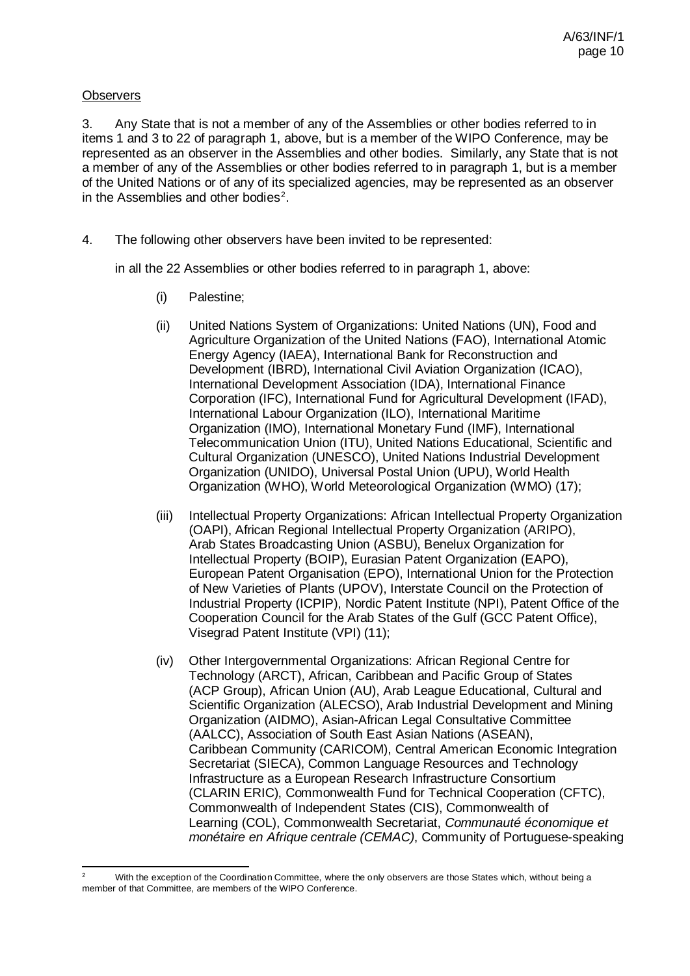### **Observers**

3. Any State that is not a member of any of the Assemblies or other bodies referred to in items 1 and 3 to 22 of paragraph 1, above, but is a member of the WIPO Conference, may be represented as an observer in the Assemblies and other bodies. Similarly, any State that is not a member of any of the Assemblies or other bodies referred to in paragraph 1, but is a member of the United Nations or of any of its specialized agencies, may be represented as an observer in the Assemblies and other bodies<sup>[2](#page-9-1)</sup>.

4. The following other observers have been invited to be represented:

in all the 22 Assemblies or other bodies referred to in paragraph 1, abov[e:](#page-9-0)

- <span id="page-9-0"></span>(i) Palestine;
- (ii) United Nations System of Organizations: United Nations (UN), Food and Agriculture Organization of the United Nations (FAO), International Atomic Energy Agency (IAEA), International Bank for Reconstruction and Development (IBRD), International Civil Aviation Organization (ICAO), International Development Association (IDA), International Finance Corporation (IFC), International Fund for Agricultural Development (IFAD), International Labour Organization (ILO), International Maritime Organization (IMO), International Monetary Fund (IMF), International Telecommunication Union (ITU), United Nations Educational, Scientific and Cultural Organization (UNESCO), United Nations Industrial Development Organization (UNIDO), Universal Postal Union (UPU), World Health Organization (WHO), World Meteorological Organization (WMO) (17);
- (iii) Intellectual Property Organizations: African Intellectual Property Organization (OAPI), African Regional Intellectual Property Organization (ARIPO), Arab States Broadcasting Union (ASBU), Benelux Organization for Intellectual Property (BOIP), Eurasian Patent Organization (EAPO), European Patent Organisation (EPO), International Union for the Protection of New Varieties of Plants (UPOV), Interstate Council on the Protection of Industrial Property (ICPIP), Nordic Patent Institute (NPI), Patent Office of the Cooperation Council for the Arab States of the Gulf (GCC Patent Office), Visegrad Patent Institute (VPI) (11);
- (iv) Other Intergovernmental Organizations: African Regional Centre for Technology (ARCT), African, Caribbean and Pacific Group of States (ACP Group), African Union (AU), Arab League Educational, Cultural and Scientific Organization (ALECSO), Arab Industrial Development and Mining Organization (AIDMO), Asian-African Legal Consultative Committee (AALCC), Association of South East Asian Nations (ASEAN), Caribbean Community (CARICOM), Central American Economic Integration Secretariat (SIECA), Common Language Resources and Technology Infrastructure as a European Research Infrastructure Consortium (CLARIN ERIC), Commonwealth Fund for Technical Cooperation (CFTC), Commonwealth of Independent States (CIS), Commonwealth of Learning (COL), Commonwealth Secretariat, *Communauté économique et monétaire en Afrique centrale (CEMAC)*, Community of Portuguese-speaking

<span id="page-9-1"></span>With the exception of the Coordination Committee, where the only observers are those States which, without being a member of that Committee, are members of the WIPO Conference.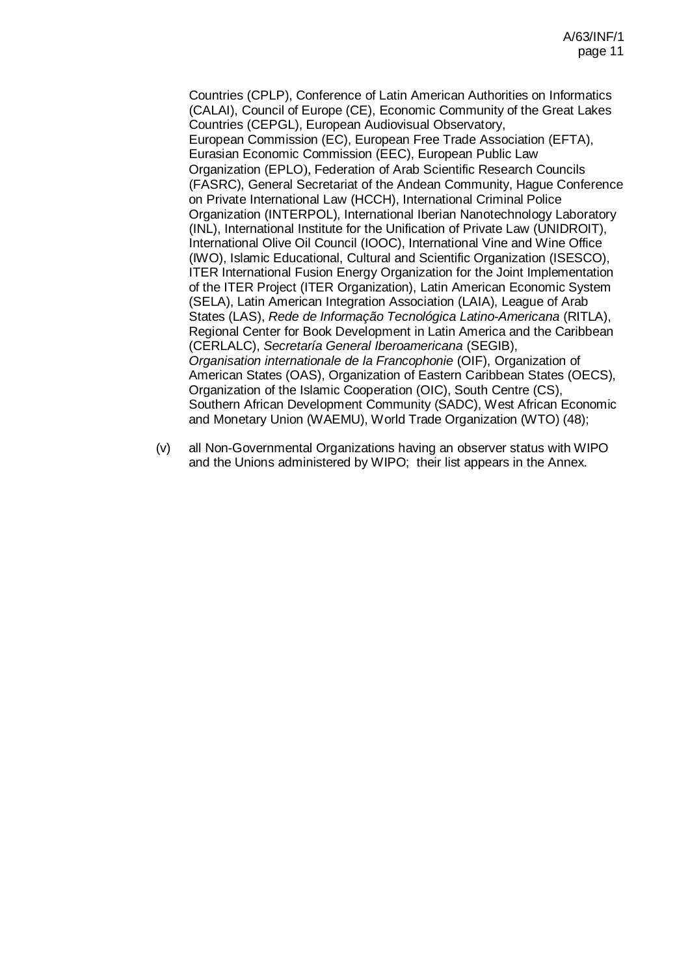Countries (CPLP), Conference of Latin American Authorities on Informatics (CALAI), Council of Europe (CE), Economic Community of the Great Lakes Countries (CEPGL), European Audiovisual Observatory, European Commission (EC), European Free Trade Association (EFTA), Eurasian Economic Commission (EEC), European Public Law Organization (EPLO), Federation of Arab Scientific Research Councils (FASRC), General Secretariat of the Andean Community, Hague Conference on Private International Law (HCCH), International Criminal Police Organization (INTERPOL), International Iberian Nanotechnology Laboratory (INL), International Institute for the Unification of Private Law (UNIDROIT), International Olive Oil Council (IOOC), International Vine and Wine Office (IWO), Islamic Educational, Cultural and Scientific Organization (ISESCO), ITER International Fusion Energy Organization for the Joint Implementation of the ITER Project (ITER Organization), Latin American Economic System (SELA), Latin American Integration Association (LAIA), League of Arab States (LAS), *Rede de Informação Tecnológica Latino-Americana* (RITLA), Regional Center for Book Development in Latin America and the Caribbean (CERLALC), *Secretaría General Iberoamericana* (SEGIB), *Organisation internationale de la Francophonie* (OIF), Organization of American States (OAS), Organization of Eastern Caribbean States (OECS), Organization of the Islamic Cooperation (OIC), South Centre (CS), Southern African Development Community (SADC), West African Economic and Monetary Union (WAEMU), World Trade Organization (WTO) (48);

(v) all Non-Governmental Organizations having an observer status with WIPO and the Unions administered by WIPO; their list appears in the Annex.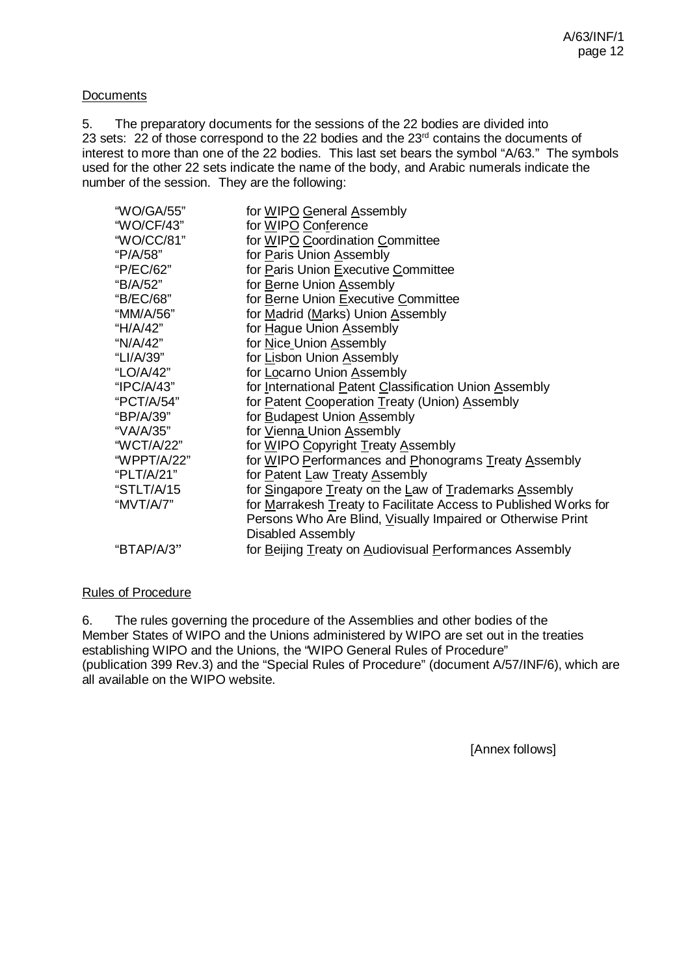### **Documents**

5. The preparatory documents for the sessions of the 22 bodies are divided into 23 sets: 22 of those correspond to the 22 bodies and the 23<sup>rd</sup> contains the documents of interest to more than one of the 22 bodies. This last set bears the symbol "A/63." The symbols used for the other 22 sets indicate the name of the body, and Arabic numerals indicate the number of the session. They are the following:

| "WO/GA/55"  | for WIPO General Assembly                                        |
|-------------|------------------------------------------------------------------|
| "WO/CF/43"  | for WIPO Conference                                              |
| "WO/CC/81"  | for WIPO Coordination Committee                                  |
| "P/A/58"    | for Paris Union Assembly                                         |
| "P/EC/62"   | for Paris Union Executive Committee                              |
| "B/A/52"    | for Berne Union Assembly                                         |
| "B/EC/68"   | for Berne Union Executive Committee                              |
| "MM/A/56"   | for Madrid (Marks) Union Assembly                                |
| "H/A/42"    | for Hague Union Assembly                                         |
| "N/A/42"    | for Nice Union Assembly                                          |
| "LI/A/39"   | for Lisbon Union Assembly                                        |
| "LO/A/42"   | for Locarno Union Assembly                                       |
| "IPC/A/43"  | for International Patent Classification Union Assembly           |
| "PCT/A/54"  | for Patent Cooperation Treaty (Union) Assembly                   |
| "BP/A/39"   | for Budapest Union Assembly                                      |
| "VA/A/35"   | for Vienna Union Assembly                                        |
| "WCT/A/22"  | for WIPO Copyright Treaty Assembly                               |
| "WPPT/A/22" | for WIPO Performances and Phonograms Treaty Assembly             |
| "PLT/A/21"  | for Patent Law Treaty Assembly                                   |
| "STLT/A/15  | for Singapore Treaty on the Law of Trademarks Assembly           |
| "MVT/A/7"   | for Marrakesh Treaty to Facilitate Access to Published Works for |
|             | Persons Who Are Blind, Visually Impaired or Otherwise Print      |
|             | Disabled Assembly                                                |
| "BTAP/A/3"  | for Beijing Treaty on Audiovisual Performances Assembly          |
|             |                                                                  |

### Rules of Procedure

6. The rules governing the procedure of the Assemblies and other bodies of the Member States of WIPO and the Unions administered by WIPO are set out in the treaties establishing WIPO and the Unions, the "WIPO General Rules of Procedure" (publication 399 Rev.3) and the "Special Rules of Procedure" (document A/57/INF/6), which are all available on the WIPO website.

[Annex follows]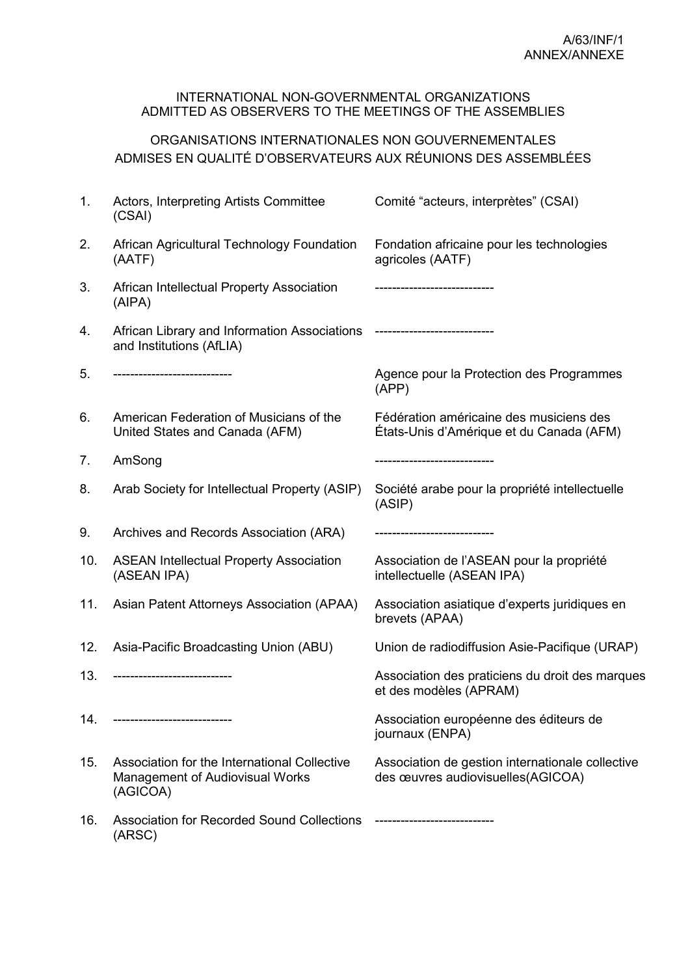#### INTERNATIONAL NON-GOVERNMENTAL ORGANIZATIONS ADMITTED AS OBSERVERS TO THE MEETINGS OF THE ASSEMBLIES

## ORGANISATIONS INTERNATIONALES NON GOUVERNEMENTALES ADMISES EN QUALITÉ D'OBSERVATEURS AUX RÉUNIONS DES ASSEMBLÉES

| 1.  | Actors, Interpreting Artists Committee<br>(CSAI)                                                   | Comité "acteurs, interprètes" (CSAI)                                                   |
|-----|----------------------------------------------------------------------------------------------------|----------------------------------------------------------------------------------------|
| 2.  | African Agricultural Technology Foundation<br>(AATF)                                               | Fondation africaine pour les technologies<br>agricoles (AATF)                          |
| 3.  | African Intellectual Property Association<br>(AIPA)                                                | -------------------------                                                              |
| 4.  | African Library and Information Associations<br>and Institutions (AfLIA)                           | ----------------------------                                                           |
| 5.  | --------------------------                                                                         | Agence pour la Protection des Programmes<br>(APP)                                      |
| 6.  | American Federation of Musicians of the<br>United States and Canada (AFM)                          | Fédération américaine des musiciens des<br>États-Unis d'Amérique et du Canada (AFM)    |
| 7.  | AmSong                                                                                             | -----------------------------                                                          |
| 8.  | Arab Society for Intellectual Property (ASIP)                                                      | Société arabe pour la propriété intellectuelle<br>(ASIP)                               |
| 9.  | Archives and Records Association (ARA)                                                             |                                                                                        |
| 10. | <b>ASEAN Intellectual Property Association</b><br>(ASEAN IPA)                                      | Association de l'ASEAN pour la propriété<br>intellectuelle (ASEAN IPA)                 |
| 11. | Asian Patent Attorneys Association (APAA)                                                          | Association asiatique d'experts juridiques en<br>brevets (APAA)                        |
| 12. | Asia-Pacific Broadcasting Union (ABU)                                                              | Union de radiodiffusion Asie-Pacifique (URAP)                                          |
| 13. | ----------------------------                                                                       | Association des praticiens du droit des marques<br>et des modèles (APRAM)              |
| 14. |                                                                                                    | Association européenne des éditeurs de<br>journaux (ENPA)                              |
| 15. | Association for the International Collective<br><b>Management of Audiovisual Works</b><br>(AGICOA) | Association de gestion internationale collective<br>des œuvres audiovisuelles (AGICOA) |
| 16. | <b>Association for Recorded Sound Collections</b><br>(ARSC)                                        | ----------------------------                                                           |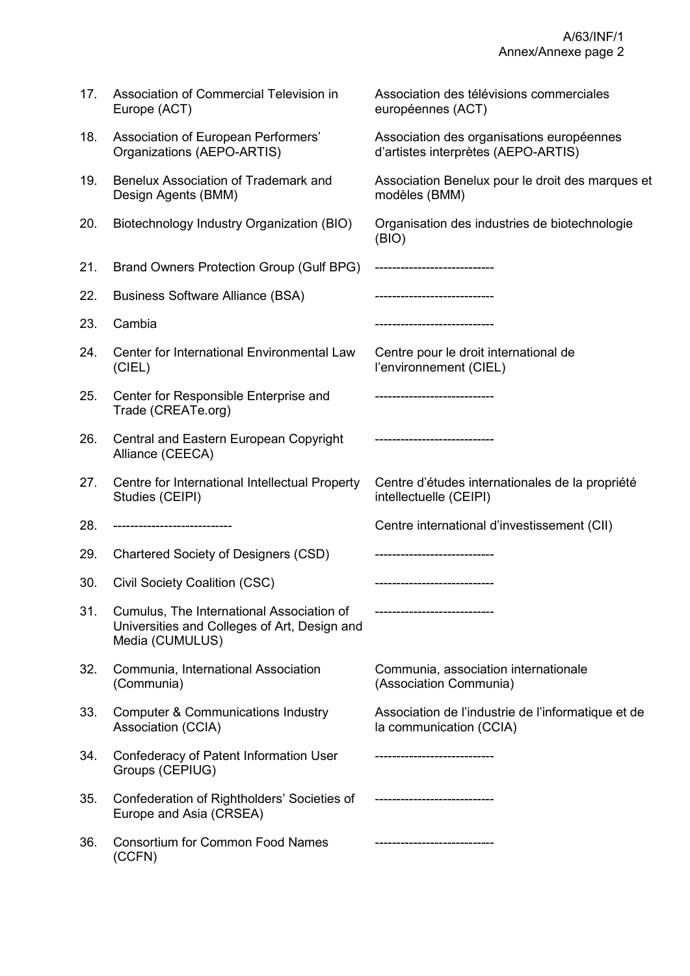| 17. | Association of Commercial Television in<br>Europe (ACT)                                                      | Association des télévisions commerciales<br>européennes (ACT)                    |
|-----|--------------------------------------------------------------------------------------------------------------|----------------------------------------------------------------------------------|
| 18. | Association of European Performers'<br>Organizations (AEPO-ARTIS)                                            | Association des organisations européennes<br>d'artistes interprètes (AEPO-ARTIS) |
| 19. | <b>Benelux Association of Trademark and</b><br>Design Agents (BMM)                                           | Association Benelux pour le droit des marques et<br>modèles (BMM)                |
| 20. | Biotechnology Industry Organization (BIO)                                                                    | Organisation des industries de biotechnologie<br>(BIO)                           |
| 21. | Brand Owners Protection Group (Gulf BPG)                                                                     | ----------------------------                                                     |
| 22. | <b>Business Software Alliance (BSA)</b>                                                                      | ---------------------------                                                      |
| 23. | Cambia                                                                                                       | ------------------------                                                         |
| 24. | Center for International Environmental Law<br>(CIEL)                                                         | Centre pour le droit international de<br>l'environnement (CIEL)                  |
| 25. | Center for Responsible Enterprise and<br>Trade (CREATe.org)                                                  |                                                                                  |
| 26. | Central and Eastern European Copyright<br>Alliance (CEECA)                                                   | ---------------------------                                                      |
|     |                                                                                                              |                                                                                  |
| 27. | Centre for International Intellectual Property<br>Studies (CEIPI)                                            | Centre d'études internationales de la propriété<br>intellectuelle (CEIPI)        |
| 28. | ---------------------------                                                                                  | Centre international d'investissement (CII)                                      |
| 29. | <b>Chartered Society of Designers (CSD)</b>                                                                  |                                                                                  |
| 30. | Civil Society Coalition (CSC)                                                                                | -----------------------------                                                    |
| 31. | Cumulus, The International Association of<br>Universities and Colleges of Art, Design and<br>Media (CUMULUS) | ----------------------------                                                     |
| 32. | Communia, International Association<br>(Communia)                                                            | Communia, association internationale<br>(Association Communia)                   |
| 33. | <b>Computer &amp; Communications Industry</b><br>Association (CCIA)                                          | Association de l'industrie de l'informatique et de<br>la communication (CCIA)    |
| 34. | Confederacy of Patent Information User<br>Groups (CEPIUG)                                                    | -------------------------                                                        |
| 35. | Confederation of Rightholders' Societies of<br>Europe and Asia (CRSEA)                                       | ----------------------------                                                     |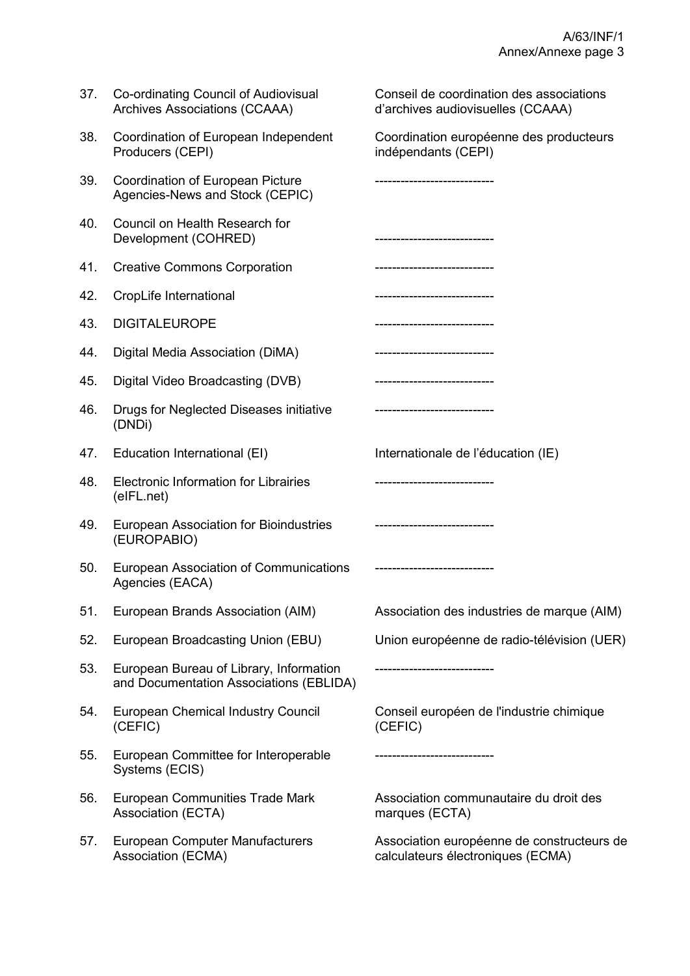| 37. | Co-ordinating Council of Audiovisual<br><b>Archives Associations (CCAAA)</b>       | Conseil de coordination des associations<br>d'archives audiovisuelles (CCAAA)   |
|-----|------------------------------------------------------------------------------------|---------------------------------------------------------------------------------|
| 38. | Coordination of European Independent<br>Producers (CEPI)                           | Coordination européenne des producteurs<br>indépendants (CEPI)                  |
| 39. | Coordination of European Picture<br>Agencies-News and Stock (CEPIC)                |                                                                                 |
| 40. | Council on Health Research for<br>Development (COHRED)                             |                                                                                 |
| 41. | <b>Creative Commons Corporation</b>                                                |                                                                                 |
| 42. | CropLife International                                                             | ---------------------------                                                     |
| 43. | <b>DIGITALEUROPE</b>                                                               | --------------------------                                                      |
| 44. | Digital Media Association (DiMA)                                                   | --------------------------                                                      |
| 45. | Digital Video Broadcasting (DVB)                                                   | -------------------------                                                       |
| 46. | Drugs for Neglected Diseases initiative<br>(DNDi)                                  | -------------------------                                                       |
| 47. | Education International (EI)                                                       | Internationale de l'éducation (IE)                                              |
| 48. | Electronic Information for Librairies<br>(eIFL.net)                                |                                                                                 |
| 49. | European Association for Bioindustries<br>(EUROPABIO)                              | -----------------------------                                                   |
| 50. | <b>European Association of Communications</b><br>Agencies (EACA)                   | ----------------------------                                                    |
| 51. | European Brands Association (AIM)                                                  | Association des industries de marque (AIM)                                      |
| 52. | European Broadcasting Union (EBU)                                                  | Union européenne de radio-télévision (UER)                                      |
| 53. | European Bureau of Library, Information<br>and Documentation Associations (EBLIDA) | ---------------------------                                                     |
| 54. | <b>European Chemical Industry Council</b><br>(CEFIC)                               | Conseil européen de l'industrie chimique<br>(CEFIC)                             |
| 55. | European Committee for Interoperable<br>Systems (ECIS)                             | -------------------------                                                       |
| 56. | European Communities Trade Mark<br>Association (ECTA)                              | Association communautaire du droit des<br>marques (ECTA)                        |
| 57. | <b>European Computer Manufacturers</b><br>Association (ECMA)                       | Association européenne de constructeurs de<br>calculateurs électroniques (ECMA) |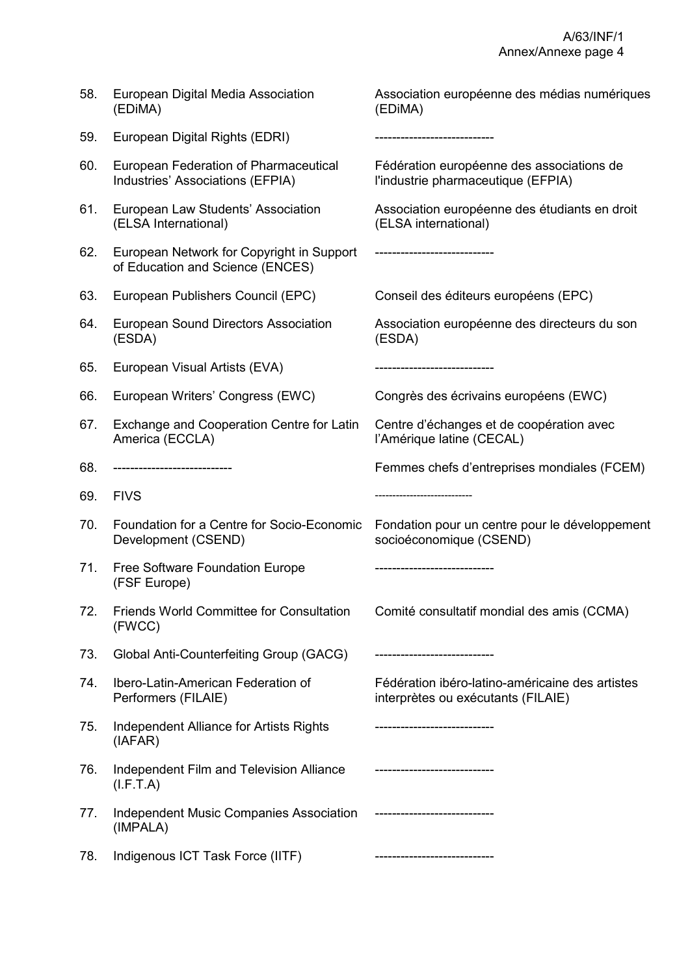| 58. | European Digital Media Association<br>(EDIMA)                                 | Association européenne des médias numériques<br>(EDIMA)                               |
|-----|-------------------------------------------------------------------------------|---------------------------------------------------------------------------------------|
| 59. | European Digital Rights (EDRI)                                                | ---------------------------                                                           |
| 60. | European Federation of Pharmaceutical<br>Industries' Associations (EFPIA)     | Fédération européenne des associations de<br>l'industrie pharmaceutique (EFPIA)       |
| 61. | European Law Students' Association<br>(ELSA International)                    | Association européenne des étudiants en droit<br>(ELSA international)                 |
| 62. | European Network for Copyright in Support<br>of Education and Science (ENCES) | --------------------------                                                            |
| 63. | European Publishers Council (EPC)                                             | Conseil des éditeurs européens (EPC)                                                  |
| 64. | <b>European Sound Directors Association</b><br>(ESDA)                         | Association européenne des directeurs du son<br>(ESDA)                                |
| 65. | European Visual Artists (EVA)                                                 | ------------------------                                                              |
| 66. | European Writers' Congress (EWC)                                              | Congrès des écrivains européens (EWC)                                                 |
| 67. | Exchange and Cooperation Centre for Latin<br>America (ECCLA)                  | Centre d'échanges et de coopération avec<br>l'Amérique latine (CECAL)                 |
| 68. | --------------------------                                                    | Femmes chefs d'entreprises mondiales (FCEM)                                           |
| 69. | <b>FIVS</b>                                                                   |                                                                                       |
| 70. | Foundation for a Centre for Socio-Economic<br>Development (CSEND)             | Fondation pour un centre pour le développement<br>socioéconomique (CSEND)             |
| 71. | Free Software Foundation Europe<br>(FSF Europe)                               |                                                                                       |
| 72. | <b>Friends World Committee for Consultation</b><br>(FWCC)                     | Comité consultatif mondial des amis (CCMA)                                            |
| 73. | Global Anti-Counterfeiting Group (GACG)                                       | -------------------------                                                             |
| 74. | Ibero-Latin-American Federation of<br>Performers (FILAIE)                     | Fédération ibéro-latino-américaine des artistes<br>interprètes ou exécutants (FILAIE) |
| 75. | Independent Alliance for Artists Rights<br>(IAFAR)                            | -------------------------                                                             |
| 76. | Independent Film and Television Alliance<br>(I.F.T.A)                         |                                                                                       |
| 77. | <b>Independent Music Companies Association</b><br>(IMPALA)                    |                                                                                       |
| 78. | Indigenous ICT Task Force (IITF)                                              |                                                                                       |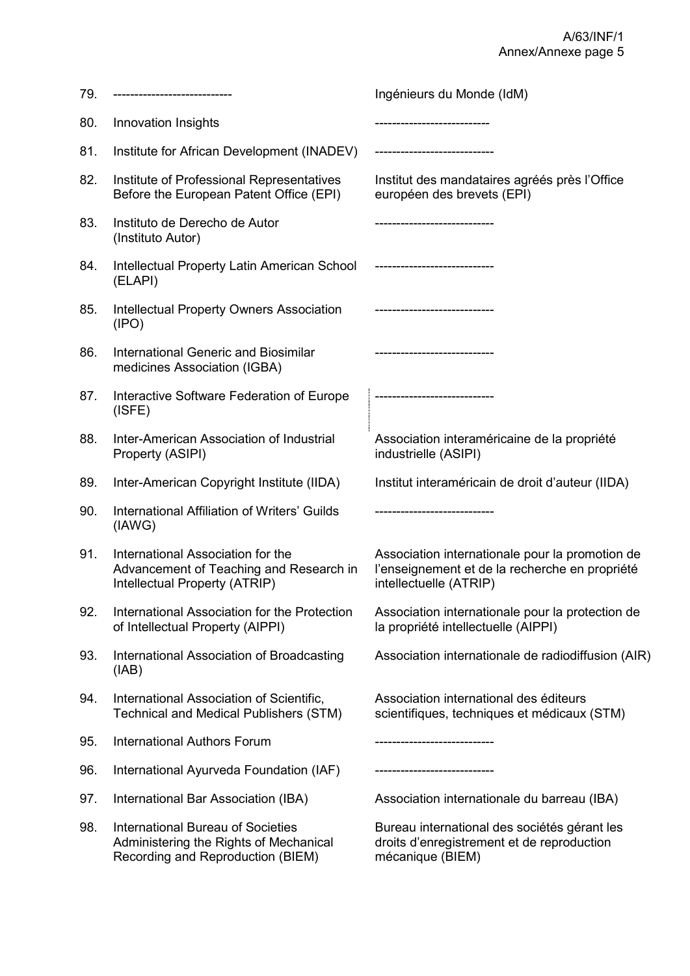| 79. |                                                                                                                         | Ingénieurs du Monde (IdM)                                                                                                   |
|-----|-------------------------------------------------------------------------------------------------------------------------|-----------------------------------------------------------------------------------------------------------------------------|
| 80. | Innovation Insights                                                                                                     |                                                                                                                             |
| 81. | Institute for African Development (INADEV)                                                                              |                                                                                                                             |
| 82. | Institute of Professional Representatives<br>Before the European Patent Office (EPI)                                    | Institut des mandataires agréés près l'Office<br>européen des brevets (EPI)                                                 |
| 83. | Instituto de Derecho de Autor<br>(Instituto Autor)                                                                      |                                                                                                                             |
| 84. | Intellectual Property Latin American School<br>(ELAPI)                                                                  | -------------------------                                                                                                   |
| 85. | <b>Intellectual Property Owners Association</b><br>(IPO)                                                                |                                                                                                                             |
| 86. | International Generic and Biosimilar<br>medicines Association (IGBA)                                                    | --------------------------                                                                                                  |
| 87. | Interactive Software Federation of Europe<br>(ISFE)                                                                     |                                                                                                                             |
| 88. | Inter-American Association of Industrial<br>Property (ASIPI)                                                            | Association interaméricaine de la propriété<br>industrielle (ASIPI)                                                         |
| 89. | Inter-American Copyright Institute (IIDA)                                                                               | Institut interaméricain de droit d'auteur (IIDA)                                                                            |
| 90. | International Affiliation of Writers' Guilds<br>(IAWG)                                                                  |                                                                                                                             |
| 91. | International Association for the<br>Advancement of Teaching and Research in<br>Intellectual Property (ATRIP)           | Association internationale pour la promotion de<br>l'enseignement et de la recherche en propriété<br>intellectuelle (ATRIP) |
| 92. | International Association for the Protection<br>of Intellectual Property (AIPPI)                                        | Association internationale pour la protection de<br>la propriété intellectuelle (AIPPI)                                     |
| 93. | International Association of Broadcasting<br>(IAB)                                                                      | Association internationale de radiodiffusion (AIR)                                                                          |
| 94. | International Association of Scientific,<br><b>Technical and Medical Publishers (STM)</b>                               | Association international des éditeurs<br>scientifiques, techniques et médicaux (STM)                                       |
| 95. | <b>International Authors Forum</b>                                                                                      | --------------------------                                                                                                  |
| 96. | International Ayurveda Foundation (IAF)                                                                                 |                                                                                                                             |
| 97. | International Bar Association (IBA)                                                                                     | Association internationale du barreau (IBA)                                                                                 |
| 98. | <b>International Bureau of Societies</b><br>Administering the Rights of Mechanical<br>Recording and Reproduction (BIEM) | Bureau international des sociétés gérant les<br>droits d'enregistrement et de reproduction<br>mécanique (BIEM)              |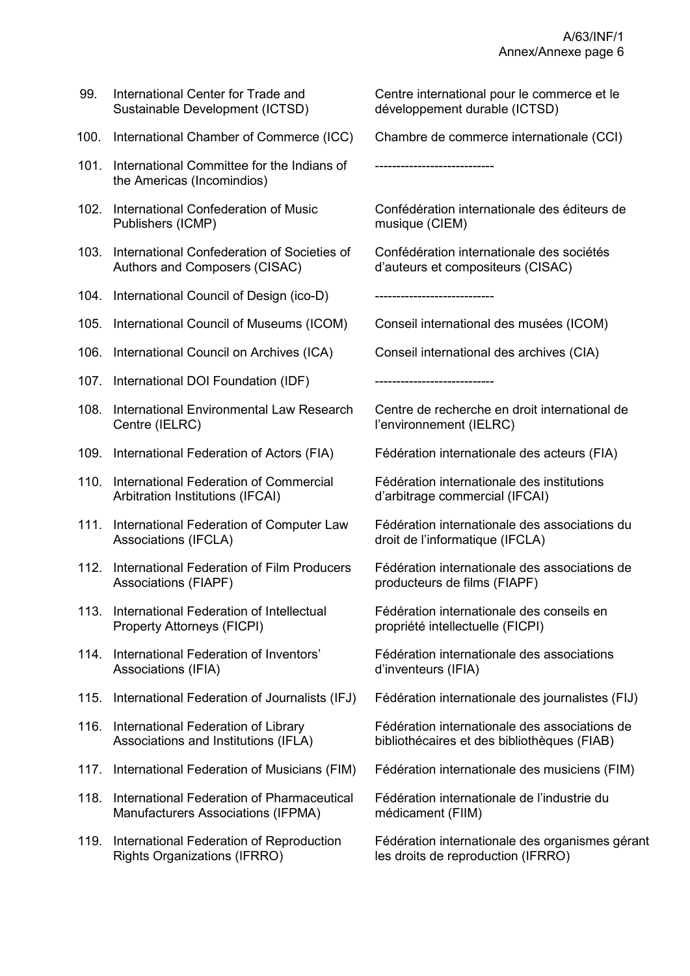| 99.  | International Center for Trade and<br>Sustainable Development (ICTSD)            | Centre international pour le commerce et le<br>développement durable (ICTSD)                 |
|------|----------------------------------------------------------------------------------|----------------------------------------------------------------------------------------------|
| 100. | International Chamber of Commerce (ICC)                                          | Chambre de commerce internationale (CCI)                                                     |
| 101. | International Committee for the Indians of<br>the Americas (Incomindios)         | -----------------------                                                                      |
| 102. | International Confederation of Music<br>Publishers (ICMP)                        | Confédération internationale des éditeurs de<br>musique (CIEM)                               |
| 103. | International Confederation of Societies of<br>Authors and Composers (CISAC)     | Confédération internationale des sociétés<br>d'auteurs et compositeurs (CISAC)               |
| 104. | International Council of Design (ico-D)                                          | -------------------------                                                                    |
| 105. | International Council of Museums (ICOM)                                          | Conseil international des musées (ICOM)                                                      |
| 106. | International Council on Archives (ICA)                                          | Conseil international des archives (CIA)                                                     |
|      | 107. International DOI Foundation (IDF)                                          | --------------------------                                                                   |
|      | 108. International Environmental Law Research<br>Centre (IELRC)                  | Centre de recherche en droit international de<br>l'environnement (IELRC)                     |
| 109. | International Federation of Actors (FIA)                                         | Fédération internationale des acteurs (FIA)                                                  |
|      | 110. International Federation of Commercial<br>Arbitration Institutions (IFCAI)  | Fédération internationale des institutions<br>d'arbitrage commercial (IFCAI)                 |
| 111. | International Federation of Computer Law<br>Associations (IFCLA)                 | Fédération internationale des associations du<br>droit de l'informatique (IFCLA)             |
| 112. | International Federation of Film Producers<br>Associations (FIAPF)               | Fédération internationale des associations de<br>producteurs de films (FIAPF)                |
|      | 113. International Federation of Intellectual<br>Property Attorneys (FICPI)      | Fédération internationale des conseils en<br>propriété intellectuelle (FICPI)                |
|      | 114. International Federation of Inventors'<br>Associations (IFIA)               | Fédération internationale des associations<br>d'inventeurs (IFIA)                            |
| 115. | International Federation of Journalists (IFJ)                                    | Fédération internationale des journalistes (FIJ)                                             |
| 116. | International Federation of Library<br>Associations and Institutions (IFLA)      | Fédération internationale des associations de<br>bibliothécaires et des bibliothèques (FIAB) |
| 117. | International Federation of Musicians (FIM)                                      | Fédération internationale des musiciens (FIM)                                                |
| 118. | International Federation of Pharmaceutical<br>Manufacturers Associations (IFPMA) | Fédération internationale de l'industrie du<br>médicament (FIIM)                             |
| 119. | International Federation of Reproduction<br><b>Rights Organizations (IFRRO)</b>  | Fédération internationale des organismes gérant<br>les droits de reproduction (IFRRO)        |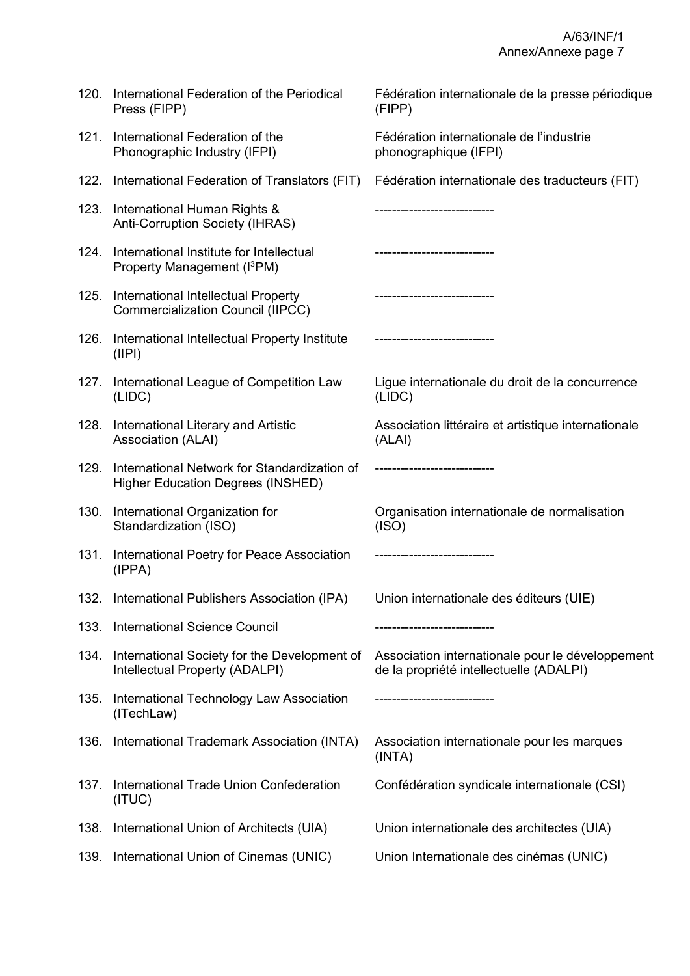| 120. | International Federation of the Periodical<br>Press (FIPP)                               | Fédération internationale de la presse périodique<br>(FIPP)                                 |
|------|------------------------------------------------------------------------------------------|---------------------------------------------------------------------------------------------|
| 121. | International Federation of the<br>Phonographic Industry (IFPI)                          | Fédération internationale de l'industrie<br>phonographique (IFPI)                           |
| 122. | International Federation of Translators (FIT)                                            | Fédération internationale des traducteurs (FIT)                                             |
| 123. | International Human Rights &<br>Anti-Corruption Society (IHRAS)                          |                                                                                             |
| 124. | International Institute for Intellectual<br>Property Management (I <sup>3</sup> PM)      | ------------------------                                                                    |
| 125. | International Intellectual Property<br><b>Commercialization Council (IIPCC)</b>          |                                                                                             |
| 126. | International Intellectual Property Institute<br>(IIPI)                                  |                                                                                             |
| 127. | International League of Competition Law<br>(LIDC)                                        | Ligue internationale du droit de la concurrence<br>(LIDC)                                   |
| 128. | International Literary and Artistic<br>Association (ALAI)                                | Association littéraire et artistique internationale<br>(ALAI)                               |
| 129. | International Network for Standardization of<br><b>Higher Education Degrees (INSHED)</b> | ----------------------------                                                                |
| 130. | International Organization for<br>Standardization (ISO)                                  | Organisation internationale de normalisation<br>(ISO)                                       |
| 131. | International Poetry for Peace Association<br>(IPPA)                                     |                                                                                             |
|      | 132. International Publishers Association (IPA) Union internationale des éditeurs (UIE)  |                                                                                             |
| 133. | <b>International Science Council</b>                                                     |                                                                                             |
| 134. | International Society for the Development of<br>Intellectual Property (ADALPI)           | Association internationale pour le développement<br>de la propriété intellectuelle (ADALPI) |
| 135. | International Technology Law Association<br>(ITechLaw)                                   |                                                                                             |
| 136. | International Trademark Association (INTA)                                               | Association internationale pour les marques<br>(INTA)                                       |
| 137. | International Trade Union Confederation<br>(ITUC)                                        | Confédération syndicale internationale (CSI)                                                |
| 138. | International Union of Architects (UIA)                                                  | Union internationale des architectes (UIA)                                                  |
| 139. | International Union of Cinemas (UNIC)                                                    | Union Internationale des cinémas (UNIC)                                                     |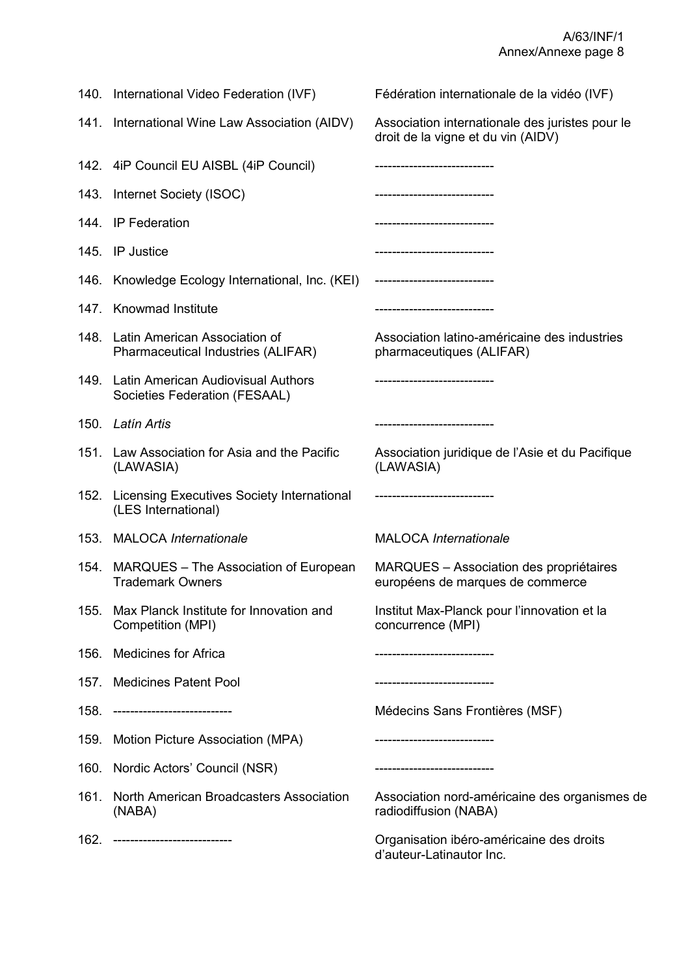|      | 140. International Video Federation (IVF)                                | Fédération internationale de la vidéo (IVF)                                           |
|------|--------------------------------------------------------------------------|---------------------------------------------------------------------------------------|
|      | 141. International Wine Law Association (AIDV)                           | Association internationale des juristes pour le<br>droit de la vigne et du vin (AIDV) |
|      | 142. 4iP Council EU AISBL (4iP Council)                                  | --------------------------                                                            |
|      | 143. Internet Society (ISOC)                                             | -----------------------------                                                         |
|      | 144. IP Federation                                                       | ----------------------------                                                          |
|      | 145. IP Justice                                                          |                                                                                       |
| 146. | Knowledge Ecology International, Inc. (KEI)                              | ----------------------------                                                          |
|      | 147. Knowmad Institute                                                   |                                                                                       |
|      | 148. Latin American Association of<br>Pharmaceutical Industries (ALIFAR) | Association latino-américaine des industries<br>pharmaceutiques (ALIFAR)              |
|      | 149. Latin American Audiovisual Authors<br>Societies Federation (FESAAL) |                                                                                       |
|      | 150. Latín Artis                                                         |                                                                                       |
|      | 151. Law Association for Asia and the Pacific<br>(LAWASIA)               | Association juridique de l'Asie et du Pacifique<br>(LAWASIA)                          |
|      | 152. Licensing Executives Society International<br>(LES International)   | -----------------------------                                                         |
|      | 153. MALOCA Internationale                                               | <b>MALOCA</b> Internationale                                                          |
|      | 154. MARQUES – The Association of European<br><b>Trademark Owners</b>    | <b>MARQUES</b> – Association des propriétaires<br>européens de marques de commerce    |
| 155. | Max Planck Institute for Innovation and<br>Competition (MPI)             | Institut Max-Planck pour l'innovation et la<br>concurrence (MPI)                      |
| 156. | <b>Medicines for Africa</b>                                              | -------------------------                                                             |
|      | 157. Medicines Patent Pool                                               |                                                                                       |
| 158. | ----------------------------                                             | Médecins Sans Frontières (MSF)                                                        |
|      | 159. Motion Picture Association (MPA)                                    |                                                                                       |
|      | 160. Nordic Actors' Council (NSR)                                        | ------------------------                                                              |
| 161. | North American Broadcasters Association<br>(NABA)                        | Association nord-américaine des organismes de<br>radiodiffusion (NABA)                |
|      | 162. -----------------------------                                       | Organisation ibéro-américaine des droits<br>d'auteur-Latinautor Inc.                  |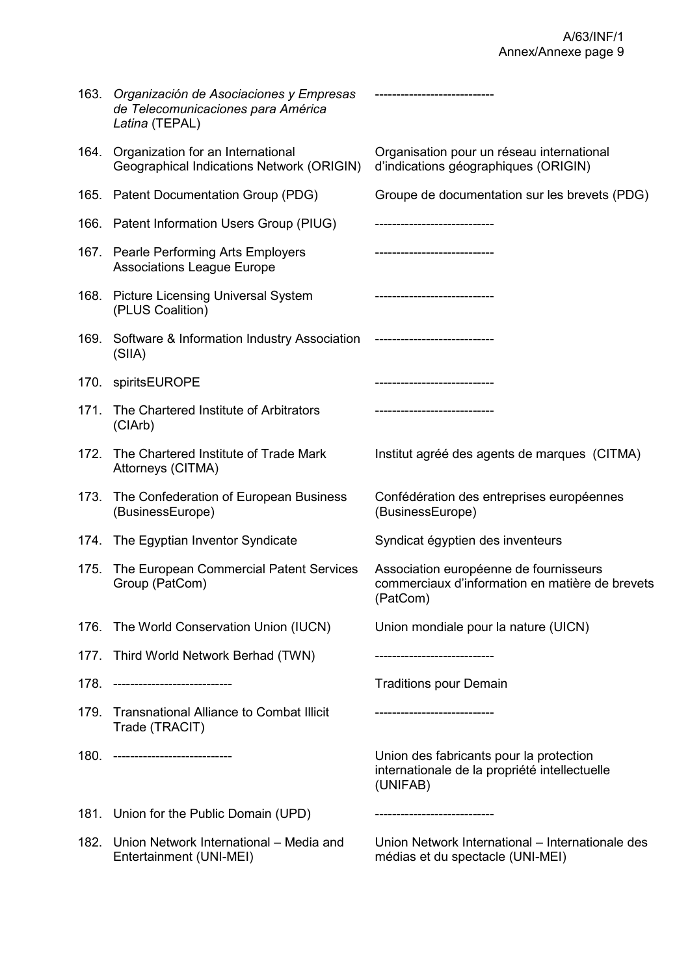|      | 163. Organización de Asociaciones y Empresas<br>de Telecomunicaciones para América<br>Latina (TEPAL) | ----------------------------                                                                          |
|------|------------------------------------------------------------------------------------------------------|-------------------------------------------------------------------------------------------------------|
|      | 164. Organization for an International<br>Geographical Indications Network (ORIGIN)                  | Organisation pour un réseau international<br>d'indications géographiques (ORIGIN)                     |
|      | 165. Patent Documentation Group (PDG)                                                                | Groupe de documentation sur les brevets (PDG)                                                         |
|      | 166. Patent Information Users Group (PIUG)                                                           | ------------------------                                                                              |
|      | 167. Pearle Performing Arts Employers<br><b>Associations League Europe</b>                           | . ____________________________                                                                        |
|      | 168. Picture Licensing Universal System<br>(PLUS Coalition)                                          | -----------------------------                                                                         |
|      | 169. Software & Information Industry Association<br>(SIIA)                                           |                                                                                                       |
|      | 170. spiritsEUROPE                                                                                   |                                                                                                       |
| 171. | The Chartered Institute of Arbitrators<br>(CIArb)                                                    |                                                                                                       |
| 172. | The Chartered Institute of Trade Mark<br>Attorneys (CITMA)                                           | Institut agréé des agents de marques (CITMA)                                                          |
| 173. | The Confederation of European Business<br>(BusinessEurope)                                           | Confédération des entreprises européennes<br>(BusinessEurope)                                         |
|      | 174. The Egyptian Inventor Syndicate                                                                 | Syndicat égyptien des inventeurs                                                                      |
| 175. | The European Commercial Patent Services<br>Group (PatCom)                                            | Association européenne de fournisseurs<br>commerciaux d'information en matière de brevets<br>(PatCom) |
|      | 176. The World Conservation Union (IUCN)                                                             | Union mondiale pour la nature (UICN)                                                                  |
|      | 177. Third World Network Berhad (TWN)                                                                | ------------------------                                                                              |
| 178. | ---------------------------                                                                          | <b>Traditions pour Demain</b>                                                                         |
| 179. | <b>Transnational Alliance to Combat Illicit</b><br>Trade (TRACIT)                                    | -----------------------                                                                               |
|      | 180. -----------------------------                                                                   | Union des fabricants pour la protection<br>internationale de la propriété intellectuelle<br>(UNIFAB)  |
|      | 181. Union for the Public Domain (UPD)                                                               | ---------------------------                                                                           |
|      | 182. Union Network International – Media and<br>Entertainment (UNI-MEI)                              | Union Network International – Internationale des<br>médias et du spectacle (UNI-MEI)                  |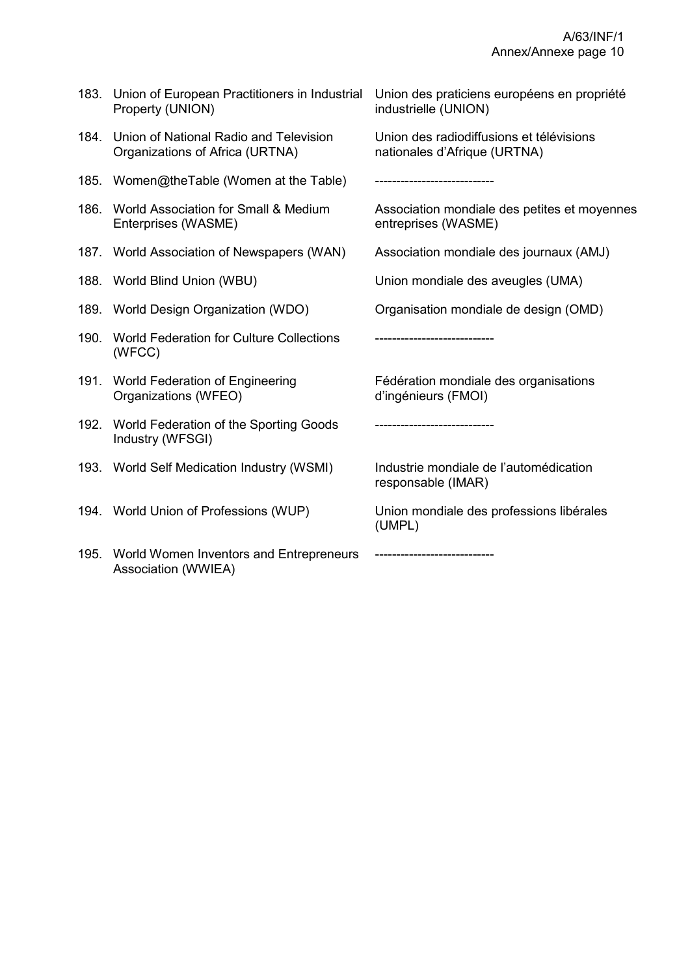|      | 183. Union of European Practitioners in Industrial<br>Property (UNION)         | Union des praticiens européens en propriété<br>industrielle (UNION)      |
|------|--------------------------------------------------------------------------------|--------------------------------------------------------------------------|
|      | 184. Union of National Radio and Television<br>Organizations of Africa (URTNA) | Union des radiodiffusions et télévisions<br>nationales d'Afrique (URTNA) |
|      | 185. Women@theTable (Women at the Table)                                       | ----------------------                                                   |
|      | 186. World Association for Small & Medium<br>Enterprises (WASME)               | Association mondiale des petites et moyennes<br>entreprises (WASME)      |
|      | 187. World Association of Newspapers (WAN)                                     | Association mondiale des journaux (AMJ)                                  |
|      | 188. World Blind Union (WBU)                                                   | Union mondiale des aveugles (UMA)                                        |
|      | 189. World Design Organization (WDO)                                           | Organisation mondiale de design (OMD)                                    |
|      | 190. World Federation for Culture Collections<br>(WFCC)                        |                                                                          |
|      | 191. World Federation of Engineering<br>Organizations (WFEO)                   | Fédération mondiale des organisations<br>d'ingénieurs (FMOI)             |
|      | 192. World Federation of the Sporting Goods<br>Industry (WFSGI)                | -------------------------                                                |
|      | 193. World Self Medication Industry (WSMI)                                     | Industrie mondiale de l'automédication<br>responsable (IMAR)             |
|      | 194. World Union of Professions (WUP)                                          | Union mondiale des professions libérales<br>(UMPL)                       |
| 195. | World Women Inventors and Entrepreneurs<br>Association (WWIEA)                 |                                                                          |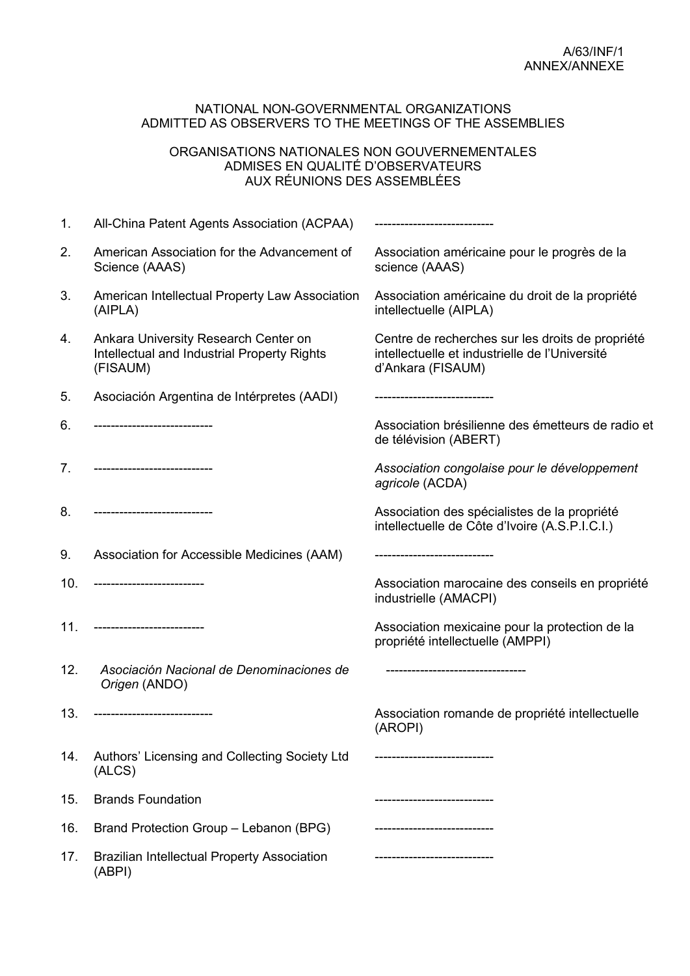#### NATIONAL NON-GOVERNMENTAL ORGANIZATIONS ADMITTED AS OBSERVERS TO THE MEETINGS OF THE ASSEMBLIES

#### ORGANISATIONS NATIONALES NON GOUVERNEMENTALES ADMISES EN QUALITÉ D'OBSERVATEURS AUX RÉUNIONS DES ASSEMBLÉES

| 1.  | All-China Patent Agents Association (ACPAA)                                                     | ----------------------------                                                                                            |
|-----|-------------------------------------------------------------------------------------------------|-------------------------------------------------------------------------------------------------------------------------|
| 2.  | American Association for the Advancement of<br>Science (AAAS)                                   | Association américaine pour le progrès de la<br>science (AAAS)                                                          |
| 3.  | American Intellectual Property Law Association<br>(AIPLA)                                       | Association américaine du droit de la propriété<br>intellectuelle (AIPLA)                                               |
| 4.  | Ankara University Research Center on<br>Intellectual and Industrial Property Rights<br>(FISAUM) | Centre de recherches sur les droits de propriété<br>intellectuelle et industrielle de l'Université<br>d'Ankara (FISAUM) |
| 5.  | Asociación Argentina de Intérpretes (AADI)                                                      |                                                                                                                         |
| 6.  |                                                                                                 | Association brésilienne des émetteurs de radio et<br>de télévision (ABERT)                                              |
| 7.  | --------------------------                                                                      | Association congolaise pour le développement<br>agricole (ACDA)                                                         |
| 8.  | -------------------------                                                                       | Association des spécialistes de la propriété<br>intellectuelle de Côte d'Ivoire (A.S.P.I.C.I.)                          |
| 9.  | Association for Accessible Medicines (AAM)                                                      |                                                                                                                         |
| 10. |                                                                                                 | Association marocaine des conseils en propriété<br>industrielle (AMACPI)                                                |
| 11. | --------------------------                                                                      | Association mexicaine pour la protection de la<br>propriété intellectuelle (AMPPI)                                      |
| 12. | Asociación Nacional de Denominaciones de<br>Origen (ANDO)                                       | ------------------------------                                                                                          |
| 13. | --------------------------                                                                      | Association romande de propriété intellectuelle<br>(AROPI)                                                              |
| 14. | Authors' Licensing and Collecting Society Ltd<br>(ALCS)                                         |                                                                                                                         |
| 15. | <b>Brands Foundation</b>                                                                        |                                                                                                                         |
| 16. | Brand Protection Group - Lebanon (BPG)                                                          |                                                                                                                         |
| 17. | <b>Brazilian Intellectual Property Association</b><br>(ABPI)                                    |                                                                                                                         |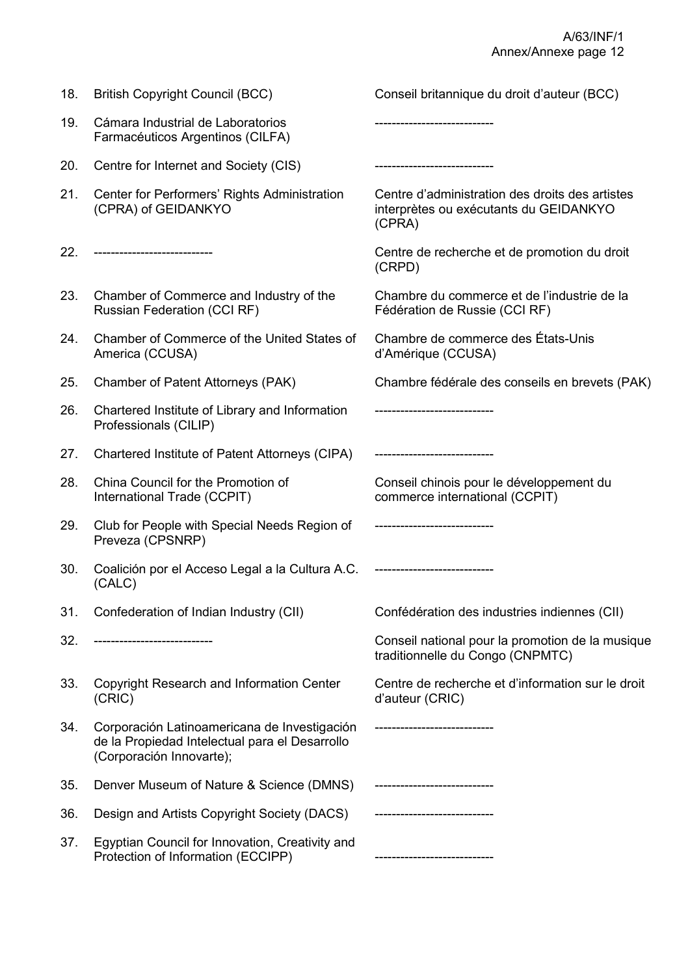| 18. | <b>British Copyright Council (BCC)</b>                                                                                     | Conseil britannique du droit d'auteur (BCC)                                                         |
|-----|----------------------------------------------------------------------------------------------------------------------------|-----------------------------------------------------------------------------------------------------|
| 19. | Cámara Industrial de Laboratorios<br>Farmacéuticos Argentinos (CILFA)                                                      | ---------------------                                                                               |
| 20. | Centre for Internet and Society (CIS)                                                                                      |                                                                                                     |
| 21. | Center for Performers' Rights Administration<br>(CPRA) of GEIDANKYO                                                        | Centre d'administration des droits des artistes<br>interprètes ou exécutants du GEIDANKYO<br>(CPRA) |
| 22. | ----------------------------                                                                                               | Centre de recherche et de promotion du droit<br>(CRPD)                                              |
| 23. | Chamber of Commerce and Industry of the<br><b>Russian Federation (CCI RF)</b>                                              | Chambre du commerce et de l'industrie de la<br>Fédération de Russie (CCI RF)                        |
| 24. | Chamber of Commerce of the United States of<br>America (CCUSA)                                                             | Chambre de commerce des États-Unis<br>d'Amérique (CCUSA)                                            |
| 25. | Chamber of Patent Attorneys (PAK)                                                                                          | Chambre fédérale des conseils en brevets (PAK)                                                      |
| 26. | Chartered Institute of Library and Information<br>Professionals (CILIP)                                                    |                                                                                                     |
| 27. | Chartered Institute of Patent Attorneys (CIPA)                                                                             | -------------------------                                                                           |
| 28. | China Council for the Promotion of<br>International Trade (CCPIT)                                                          | Conseil chinois pour le développement du<br>commerce international (CCPIT)                          |
| 29. | Club for People with Special Needs Region of<br>Preveza (CPSNRP)                                                           | ----------------------------                                                                        |
| 30. | Coalición por el Acceso Legal a la Cultura A.C.<br>(CALC)                                                                  |                                                                                                     |
| 31. | Confederation of Indian Industry (CII)                                                                                     | Confédération des industries indiennes (CII)                                                        |
| 32. | --------------------------                                                                                                 | Conseil national pour la promotion de la musique<br>traditionnelle du Congo (CNPMTC)                |
| 33. | <b>Copyright Research and Information Center</b><br>(CRIC)                                                                 | Centre de recherche et d'information sur le droit<br>d'auteur (CRIC)                                |
| 34. | Corporación Latinoamericana de Investigación<br>de la Propiedad Intelectual para el Desarrollo<br>(Corporación Innovarte); |                                                                                                     |
| 35. | Denver Museum of Nature & Science (DMNS)                                                                                   |                                                                                                     |
| 36. | Design and Artists Copyright Society (DACS)                                                                                |                                                                                                     |
| 37. | Egyptian Council for Innovation, Creativity and<br>Protection of Information (ECCIPP)                                      |                                                                                                     |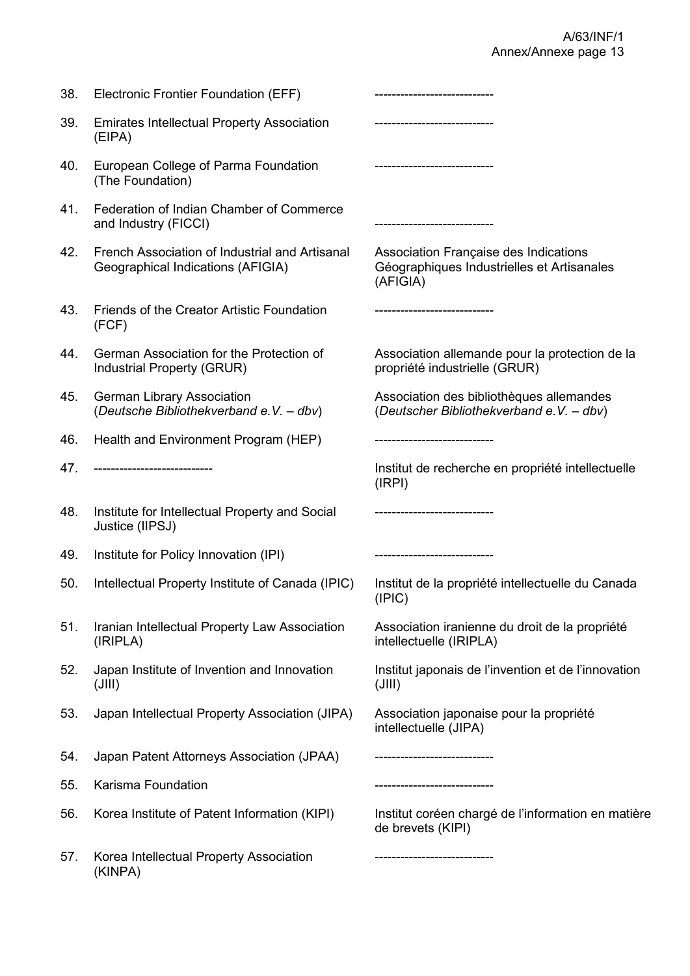| 38. | Electronic Frontier Foundation (EFF)                                                | -------------------------                                                                       |
|-----|-------------------------------------------------------------------------------------|-------------------------------------------------------------------------------------------------|
| 39. | <b>Emirates Intellectual Property Association</b><br>(EIPA)                         | -----------------------------                                                                   |
| 40. | European College of Parma Foundation<br>(The Foundation)                            | ----------------------------                                                                    |
| 41. | Federation of Indian Chamber of Commerce<br>and Industry (FICCI)                    | ----------------------------                                                                    |
| 42. | French Association of Industrial and Artisanal<br>Geographical Indications (AFIGIA) | Association Française des Indications<br>Géographiques Industrielles et Artisanales<br>(AFIGIA) |
| 43. | Friends of the Creator Artistic Foundation<br>(FCF)                                 |                                                                                                 |
| 44. | German Association for the Protection of<br>Industrial Property (GRUR)              | Association allemande pour la protection de la<br>propriété industrielle (GRUR)                 |
| 45. | <b>German Library Association</b><br>(Deutsche Bibliothekverband e.V. - dbv)        | Association des bibliothèques allemandes<br>(Deutscher Bibliothekverband e.V. - dbv)            |
| 46. | Health and Environment Program (HEP)                                                | -----------------------                                                                         |
| 47. | ----------------------------                                                        | Institut de recherche en propriété intellectuelle<br>(IRPI)                                     |
| 48. | Institute for Intellectual Property and Social<br>Justice (IIPSJ)                   | -------------------------                                                                       |
| 49. | Institute for Policy Innovation (IPI)                                               | ----------------------------                                                                    |
| 50. | Intellectual Property Institute of Canada (IPIC)                                    | Institut de la propriété intellectuelle du Canada<br>(IPIC)                                     |
| 51. | Iranian Intellectual Property Law Association<br>(IRIPLA)                           | Association iranienne du droit de la propriété<br>intellectuelle (IRIPLA)                       |
| 52. | Japan Institute of Invention and Innovation<br>$($ JIII)                            | Institut japonais de l'invention et de l'innovation<br>$($ JIII)                                |
| 53. | Japan Intellectual Property Association (JIPA)                                      | Association japonaise pour la propriété<br>intellectuelle (JIPA)                                |
| 54. | Japan Patent Attorneys Association (JPAA)                                           | -----------------------                                                                         |
| 55. | Karisma Foundation                                                                  | -------------------------                                                                       |
| 56. | Korea Institute of Patent Information (KIPI)                                        | Institut coréen chargé de l'information en matière<br>de brevets (KIPI)                         |
| 57. | Korea Intellectual Property Association<br>(KINPA)                                  | -----------------------                                                                         |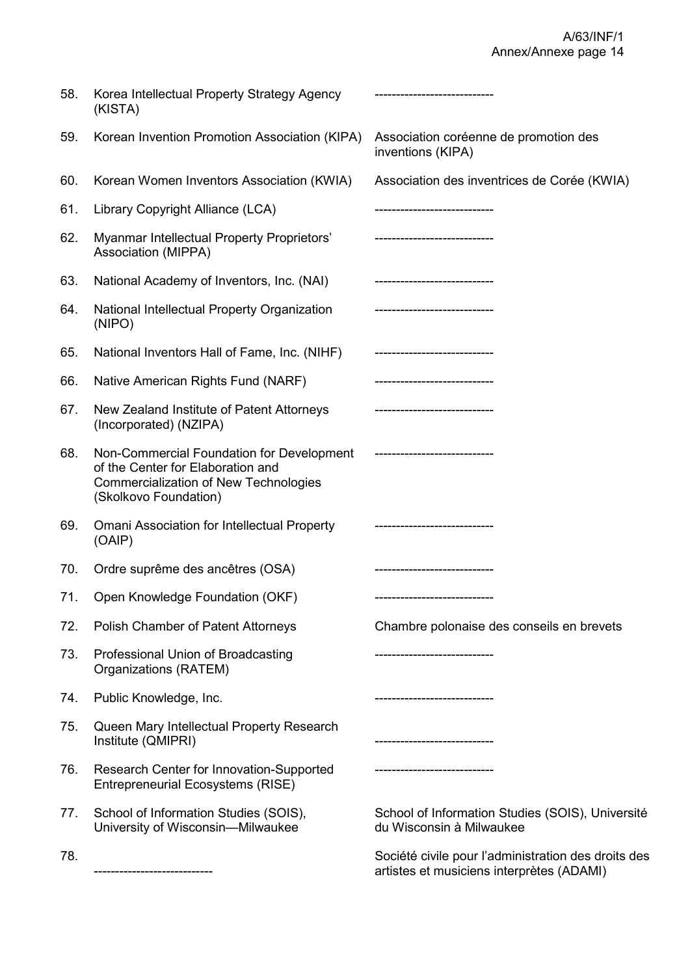| 58. | Korea Intellectual Property Strategy Agency<br>(KISTA)                                                                                                  |                                                                                                  |
|-----|---------------------------------------------------------------------------------------------------------------------------------------------------------|--------------------------------------------------------------------------------------------------|
| 59. | Korean Invention Promotion Association (KIPA)                                                                                                           | Association coréenne de promotion des<br>inventions (KIPA)                                       |
| 60. | Korean Women Inventors Association (KWIA)                                                                                                               | Association des inventrices de Corée (KWIA)                                                      |
| 61. | Library Copyright Alliance (LCA)                                                                                                                        | -------------------------                                                                        |
| 62. | Myanmar Intellectual Property Proprietors'<br>Association (MIPPA)                                                                                       | ---------------------------                                                                      |
| 63. | National Academy of Inventors, Inc. (NAI)                                                                                                               |                                                                                                  |
| 64. | National Intellectual Property Organization<br>(NIPO)                                                                                                   | ----------------------------                                                                     |
| 65. | National Inventors Hall of Fame, Inc. (NIHF)                                                                                                            |                                                                                                  |
| 66. | Native American Rights Fund (NARF)                                                                                                                      |                                                                                                  |
| 67. | New Zealand Institute of Patent Attorneys<br>(Incorporated) (NZIPA)                                                                                     |                                                                                                  |
| 68. | Non-Commercial Foundation for Development<br>of the Center for Elaboration and<br><b>Commercialization of New Technologies</b><br>(Skolkovo Foundation) | ------------------------                                                                         |
| 69. | <b>Omani Association for Intellectual Property</b><br>(OAIP)                                                                                            |                                                                                                  |
| 70. | Ordre suprême des ancêtres (OSA)                                                                                                                        |                                                                                                  |
| 71. | Open Knowledge Foundation (OKF)                                                                                                                         |                                                                                                  |
| 72. | Polish Chamber of Patent Attorneys                                                                                                                      | Chambre polonaise des conseils en brevets                                                        |
| 73. | Professional Union of Broadcasting<br>Organizations (RATEM)                                                                                             |                                                                                                  |
| 74. | Public Knowledge, Inc.                                                                                                                                  | ---------------------------                                                                      |
| 75. | Queen Mary Intellectual Property Research<br>Institute (QMIPRI)                                                                                         | . __________________________                                                                     |
| 76. | <b>Research Center for Innovation-Supported</b><br><b>Entrepreneurial Ecosystems (RISE)</b>                                                             | -----------------------                                                                          |
| 77. | School of Information Studies (SOIS),<br>University of Wisconsin-Milwaukee                                                                              | School of Information Studies (SOIS), Université<br>du Wisconsin à Milwaukee                     |
| 78. | -----------------------------                                                                                                                           | Société civile pour l'administration des droits des<br>artistes et musiciens interprètes (ADAMI) |